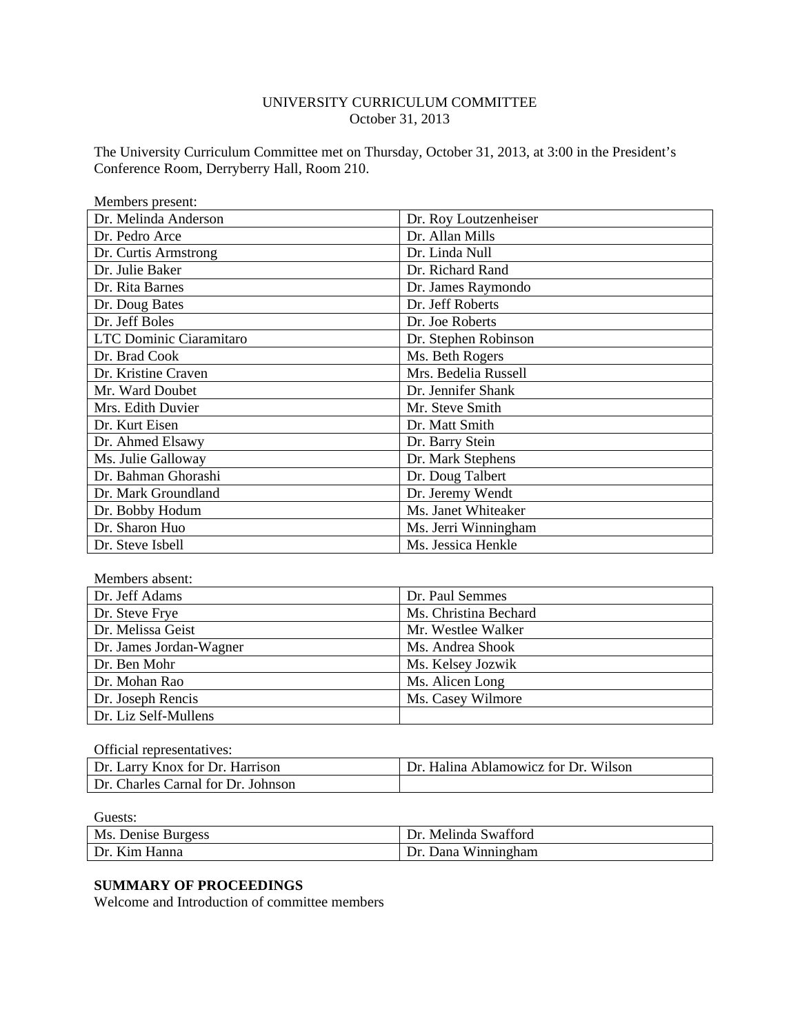### UNIVERSITY CURRICULUM COMMITTEE October 31, 2013

The University Curriculum Committee met on Thursday, October 31, 2013, at 3:00 in the President's Conference Room, Derryberry Hall, Room 210.

| Members present:        |                       |
|-------------------------|-----------------------|
| Dr. Melinda Anderson    | Dr. Roy Loutzenheiser |
| Dr. Pedro Arce          | Dr. Allan Mills       |
| Dr. Curtis Armstrong    | Dr. Linda Null        |
| Dr. Julie Baker         | Dr. Richard Rand      |
| Dr. Rita Barnes         | Dr. James Raymondo    |
| Dr. Doug Bates          | Dr. Jeff Roberts      |
| Dr. Jeff Boles          | Dr. Joe Roberts       |
| LTC Dominic Ciaramitaro | Dr. Stephen Robinson  |
| Dr. Brad Cook           | Ms. Beth Rogers       |
| Dr. Kristine Craven     | Mrs. Bedelia Russell  |
| Mr. Ward Doubet         | Dr. Jennifer Shank    |
| Mrs. Edith Duvier       | Mr. Steve Smith       |
| Dr. Kurt Eisen          | Dr. Matt Smith        |
| Dr. Ahmed Elsawy        | Dr. Barry Stein       |
| Ms. Julie Galloway      | Dr. Mark Stephens     |
| Dr. Bahman Ghorashi     | Dr. Doug Talbert      |
| Dr. Mark Groundland     | Dr. Jeremy Wendt      |
| Dr. Bobby Hodum         | Ms. Janet Whiteaker   |
| Dr. Sharon Huo          | Ms. Jerri Winningham  |
| Dr. Steve Isbell        | Ms. Jessica Henkle    |

| Members absent:         |                       |
|-------------------------|-----------------------|
| Dr. Jeff Adams          | Dr. Paul Semmes       |
| Dr. Steve Frye          | Ms. Christina Bechard |
| Dr. Melissa Geist       | Mr. Westlee Walker    |
| Dr. James Jordan-Wagner | Ms. Andrea Shook      |
| Dr. Ben Mohr            | Ms. Kelsey Jozwik     |
| Dr. Mohan Rao           | Ms. Alicen Long       |
| Dr. Joseph Rencis       | Ms. Casey Wilmore     |
| Dr. Liz Self-Mullens    |                       |

| Official representatives:          |                                      |
|------------------------------------|--------------------------------------|
| Dr. Larry Knox for Dr. Harrison    | Dr. Halina Ablamowicz for Dr. Wilson |
| Dr. Charles Carnal for Dr. Johnson |                                      |

| Ms. Denise Burgess | Melinda Swafford<br>Dr. |
|--------------------|-------------------------|
| Dr. Kim Hanna      | Dana Winningham<br>Dr.  |

# **SUMMARY OF PROCEEDINGS**

Welcome and Introduction of committee members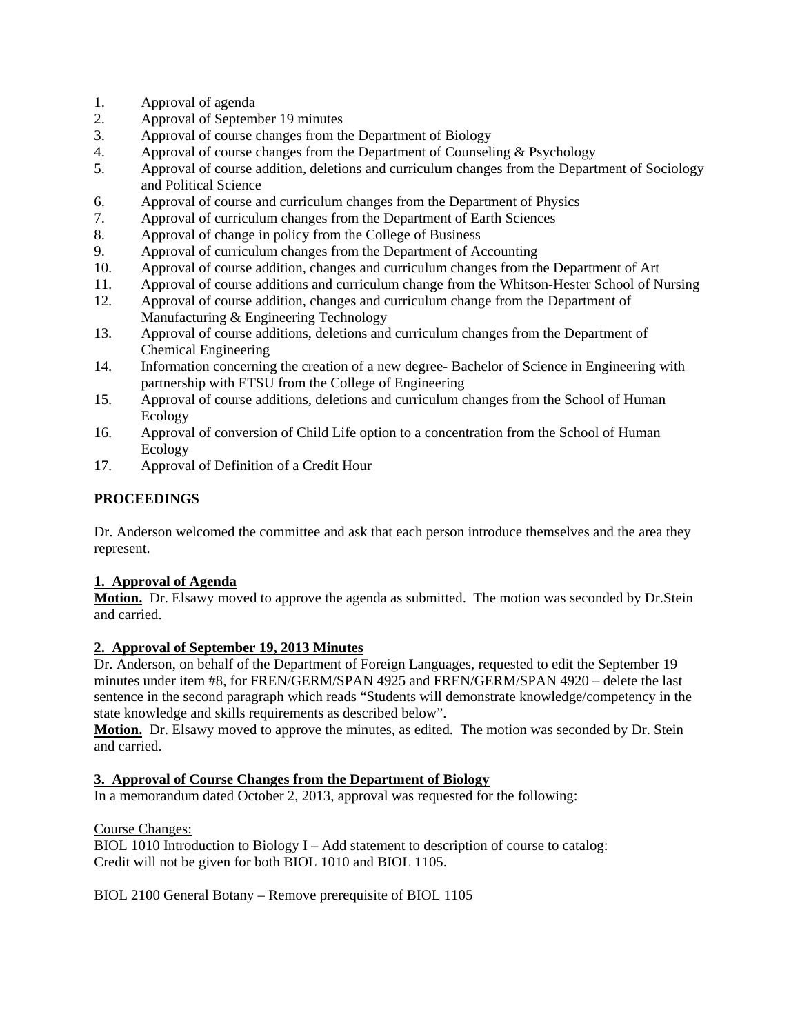- 1. Approval of agenda
- 2. Approval of September 19 minutes
- 3. Approval of course changes from the Department of Biology
- 4. Approval of course changes from the Department of Counseling & Psychology
- 5. Approval of course addition, deletions and curriculum changes from the Department of Sociology and Political Science
- 6. Approval of course and curriculum changes from the Department of Physics
- 7. Approval of curriculum changes from the Department of Earth Sciences
- 8. Approval of change in policy from the College of Business
- 9. Approval of curriculum changes from the Department of Accounting
- 10. Approval of course addition, changes and curriculum changes from the Department of Art
- 11. Approval of course additions and curriculum change from the Whitson-Hester School of Nursing
- 12. Approval of course addition, changes and curriculum change from the Department of Manufacturing & Engineering Technology
- 13. Approval of course additions, deletions and curriculum changes from the Department of Chemical Engineering
- 14. Information concerning the creation of a new degree- Bachelor of Science in Engineering with partnership with ETSU from the College of Engineering
- 15. Approval of course additions, deletions and curriculum changes from the School of Human Ecology
- 16. Approval of conversion of Child Life option to a concentration from the School of Human Ecology
- 17. Approval of Definition of a Credit Hour

# **PROCEEDINGS**

Dr. Anderson welcomed the committee and ask that each person introduce themselves and the area they represent.

# **1. Approval of Agenda**

**Motion.** Dr. Elsawy moved to approve the agenda as submitted. The motion was seconded by Dr.Stein and carried.

# **2. Approval of September 19, 2013 Minutes**

Dr. Anderson, on behalf of the Department of Foreign Languages, requested to edit the September 19 minutes under item #8, for FREN/GERM/SPAN 4925 and FREN/GERM/SPAN 4920 – delete the last sentence in the second paragraph which reads "Students will demonstrate knowledge/competency in the state knowledge and skills requirements as described below".

Motion. Dr. Elsawy moved to approve the minutes, as edited. The motion was seconded by Dr. Stein and carried.

# **3. Approval of Course Changes from the Department of Biology**

In a memorandum dated October 2, 2013, approval was requested for the following:

Course Changes:

BIOL 1010 Introduction to Biology I – Add statement to description of course to catalog: Credit will not be given for both BIOL 1010 and BIOL 1105.

BIOL 2100 General Botany – Remove prerequisite of BIOL 1105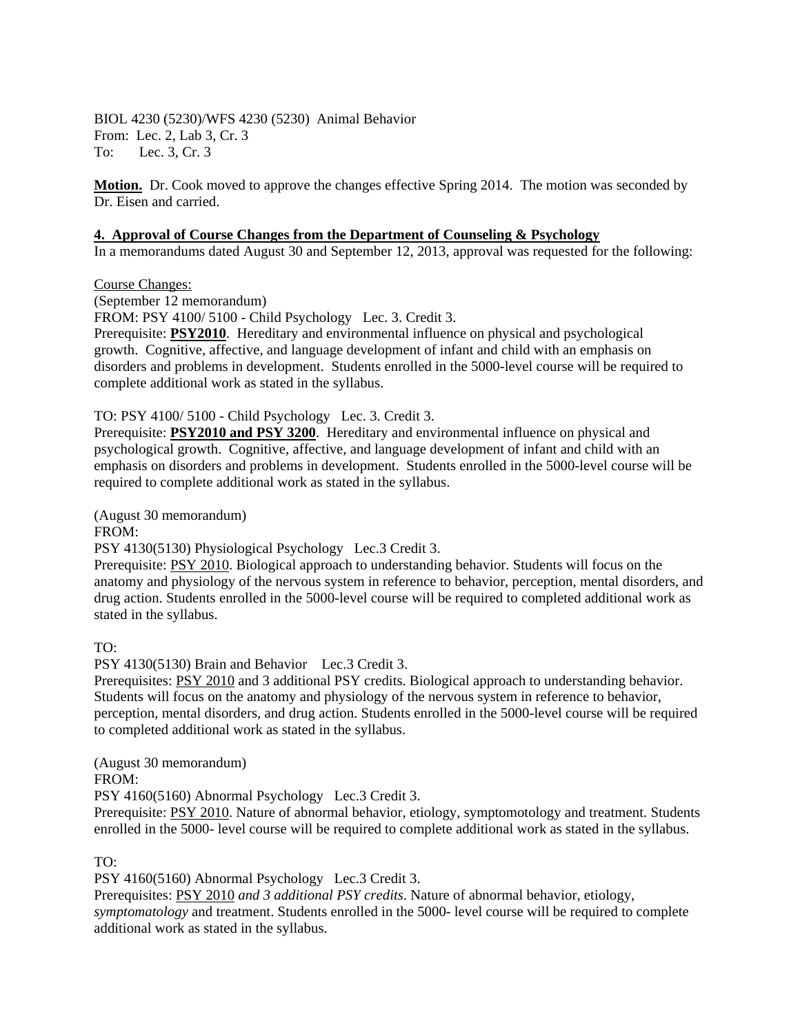BIOL 4230 (5230)/WFS 4230 (5230) Animal Behavior From: Lec. 2, Lab 3, Cr. 3 To: Lec. 3, Cr. 3

**Motion.** Dr. Cook moved to approve the changes effective Spring 2014. The motion was seconded by Dr. Eisen and carried.

#### **4. Approval of Course Changes from the Department of Counseling & Psychology**

In a memorandums dated August 30 and September 12, 2013, approval was requested for the following:

#### Course Changes:

(September 12 memorandum)

FROM: PSY 4100/ 5100 - Child Psychology Lec. 3. Credit 3.

Prerequisite: **PSY2010**. Hereditary and environmental influence on physical and psychological growth. Cognitive, affective, and language development of infant and child with an emphasis on disorders and problems in development. Students enrolled in the 5000-level course will be required to complete additional work as stated in the syllabus.

#### TO: PSY 4100/ 5100 - Child Psychology Lec. 3. Credit 3.

Prerequisite: **PSY2010 and PSY 3200**. Hereditary and environmental influence on physical and psychological growth. Cognitive, affective, and language development of infant and child with an emphasis on disorders and problems in development. Students enrolled in the 5000-level course will be required to complete additional work as stated in the syllabus.

(August 30 memorandum)

#### FROM:

PSY 4130(5130) Physiological Psychology Lec.3 Credit 3.

Prerequisite: PSY 2010. Biological approach to understanding behavior. Students will focus on the anatomy and physiology of the nervous system in reference to behavior, perception, mental disorders, and drug action. Students enrolled in the 5000-level course will be required to completed additional work as stated in the syllabus.

TO:

PSY 4130(5130) Brain and Behavior Lec.3 Credit 3.

Prerequisites: PSY 2010 and 3 additional PSY credits. Biological approach to understanding behavior. Students will focus on the anatomy and physiology of the nervous system in reference to behavior, perception, mental disorders, and drug action. Students enrolled in the 5000-level course will be required to completed additional work as stated in the syllabus.

(August 30 memorandum)

FROM:

PSY 4160(5160) Abnormal Psychology Lec.3 Credit 3.

Prerequisite: PSY 2010. Nature of abnormal behavior, etiology, symptomotology and treatment. Students enrolled in the 5000- level course will be required to complete additional work as stated in the syllabus.

TO:

PSY 4160(5160) Abnormal Psychology Lec.3 Credit 3.

Prerequisites: PSY 2010 *and 3 additional PSY credits*. Nature of abnormal behavior, etiology, *symptomatology* and treatment. Students enrolled in the 5000- level course will be required to complete additional work as stated in the syllabus.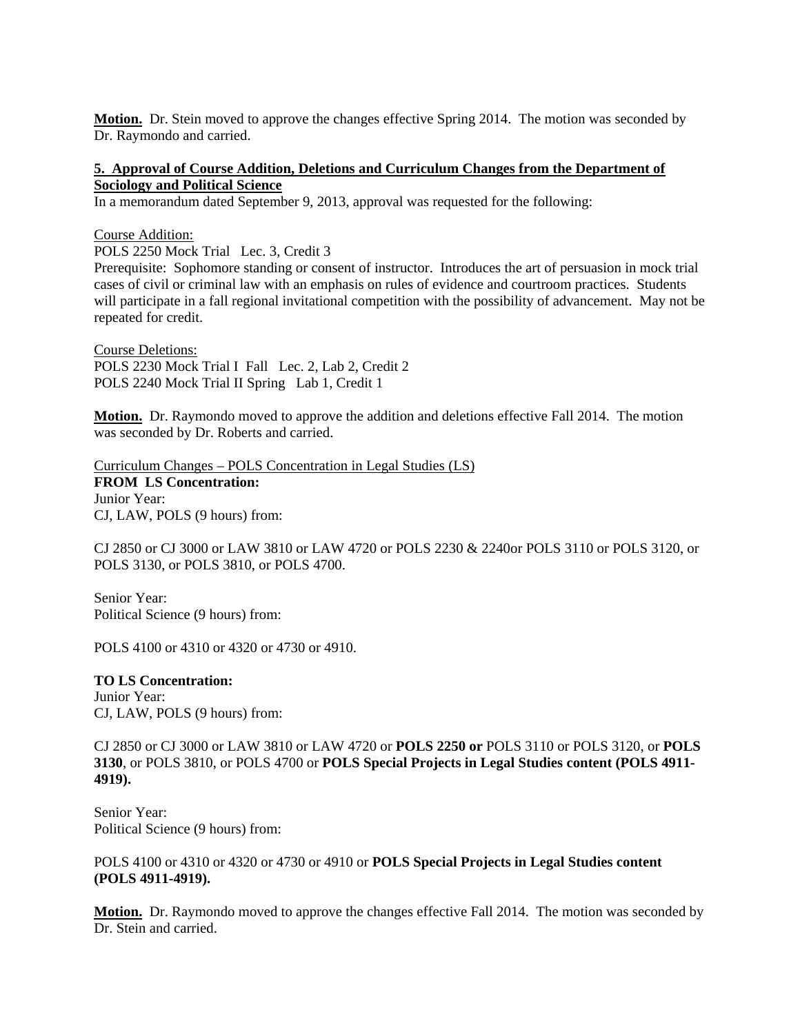**Motion.** Dr. Stein moved to approve the changes effective Spring 2014. The motion was seconded by Dr. Raymondo and carried.

#### **5. Approval of Course Addition, Deletions and Curriculum Changes from the Department of Sociology and Political Science**

In a memorandum dated September 9, 2013, approval was requested for the following:

#### Course Addition:

POLS 2250 Mock Trial Lec. 3, Credit 3

Prerequisite: Sophomore standing or consent of instructor. Introduces the art of persuasion in mock trial cases of civil or criminal law with an emphasis on rules of evidence and courtroom practices. Students will participate in a fall regional invitational competition with the possibility of advancement. May not be repeated for credit.

Course Deletions: POLS 2230 Mock Trial I Fall Lec. 2, Lab 2, Credit 2 POLS 2240 Mock Trial II Spring Lab 1, Credit 1

**Motion.** Dr. Raymondo moved to approve the addition and deletions effective Fall 2014. The motion was seconded by Dr. Roberts and carried.

Curriculum Changes – POLS Concentration in Legal Studies (LS) **FROM LS Concentration:**  Junior Year: CJ, LAW, POLS (9 hours) from:

CJ 2850 or CJ 3000 or LAW 3810 or LAW 4720 or POLS 2230 & 2240or POLS 3110 or POLS 3120, or POLS 3130, or POLS 3810, or POLS 4700.

Senior Year: Political Science (9 hours) from:

POLS 4100 or 4310 or 4320 or 4730 or 4910.

#### **TO LS Concentration:**  Junior Year: CJ, LAW, POLS (9 hours) from:

CJ 2850 or CJ 3000 or LAW 3810 or LAW 4720 or **POLS 2250 or** POLS 3110 or POLS 3120, or **POLS 3130**, or POLS 3810, or POLS 4700 or **POLS Special Projects in Legal Studies content (POLS 4911- 4919).**

Senior Year: Political Science (9 hours) from:

### POLS 4100 or 4310 or 4320 or 4730 or 4910 or **POLS Special Projects in Legal Studies content (POLS 4911-4919).**

**Motion.** Dr. Raymondo moved to approve the changes effective Fall 2014. The motion was seconded by Dr. Stein and carried.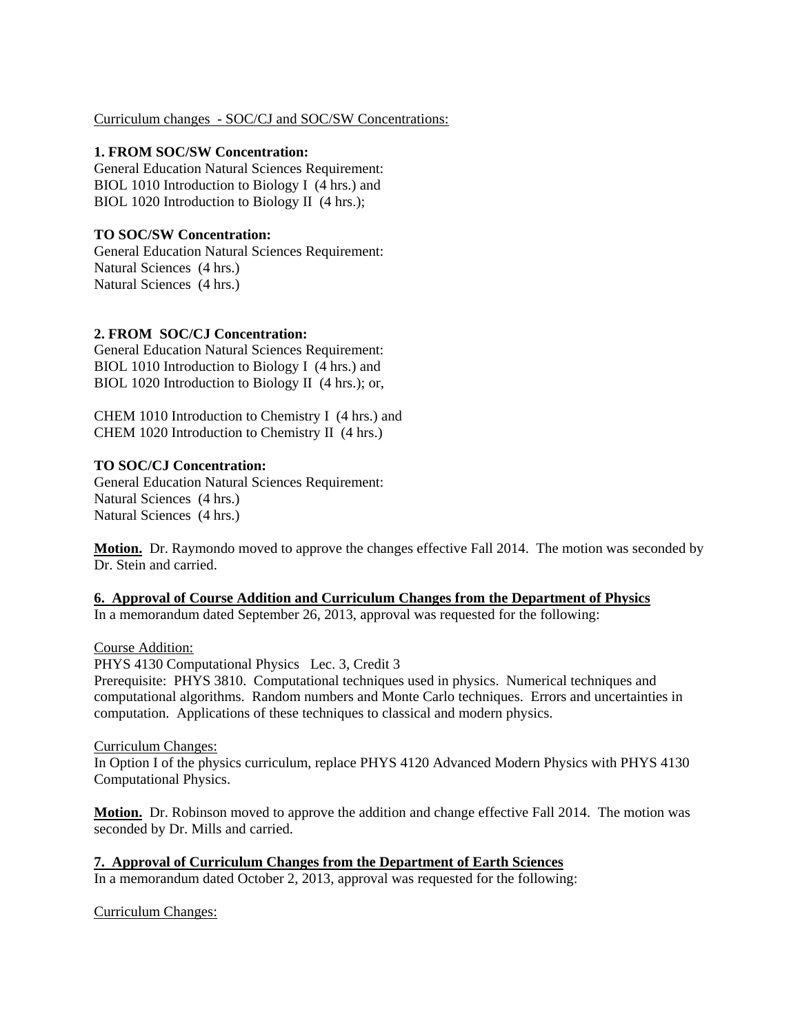### Curriculum changes - SOC/CJ and SOC/SW Concentrations:

### **1. FROM SOC/SW Concentration:**

General Education Natural Sciences Requirement: BIOL 1010 Introduction to Biology I (4 hrs.) and BIOL 1020 Introduction to Biology II (4 hrs.);

## **TO SOC/SW Concentration:**

General Education Natural Sciences Requirement: Natural Sciences (4 hrs.) Natural Sciences (4 hrs.)

## **2. FROM SOC/CJ Concentration:**

General Education Natural Sciences Requirement: BIOL 1010 Introduction to Biology I (4 hrs.) and BIOL 1020 Introduction to Biology II (4 hrs.); or,

CHEM 1010 Introduction to Chemistry I (4 hrs.) and CHEM 1020 Introduction to Chemistry II (4 hrs.)

## **TO SOC/CJ Concentration:**

General Education Natural Sciences Requirement: Natural Sciences (4 hrs.) Natural Sciences (4 hrs.)

**Motion.** Dr. Raymondo moved to approve the changes effective Fall 2014. The motion was seconded by Dr. Stein and carried.

### **6. Approval of Course Addition and Curriculum Changes from the Department of Physics**

In a memorandum dated September 26, 2013, approval was requested for the following:

### Course Addition:

PHYS 4130 Computational Physics Lec. 3, Credit 3

Prerequisite: PHYS 3810. Computational techniques used in physics. Numerical techniques and computational algorithms. Random numbers and Monte Carlo techniques. Errors and uncertainties in computation. Applications of these techniques to classical and modern physics.

### Curriculum Changes:

In Option I of the physics curriculum, replace PHYS 4120 Advanced Modern Physics with PHYS 4130 Computational Physics.

**Motion.** Dr. Robinson moved to approve the addition and change effective Fall 2014. The motion was seconded by Dr. Mills and carried.

**7. Approval of Curriculum Changes from the Department of Earth Sciences** In a memorandum dated October 2, 2013, approval was requested for the following:

### Curriculum Changes: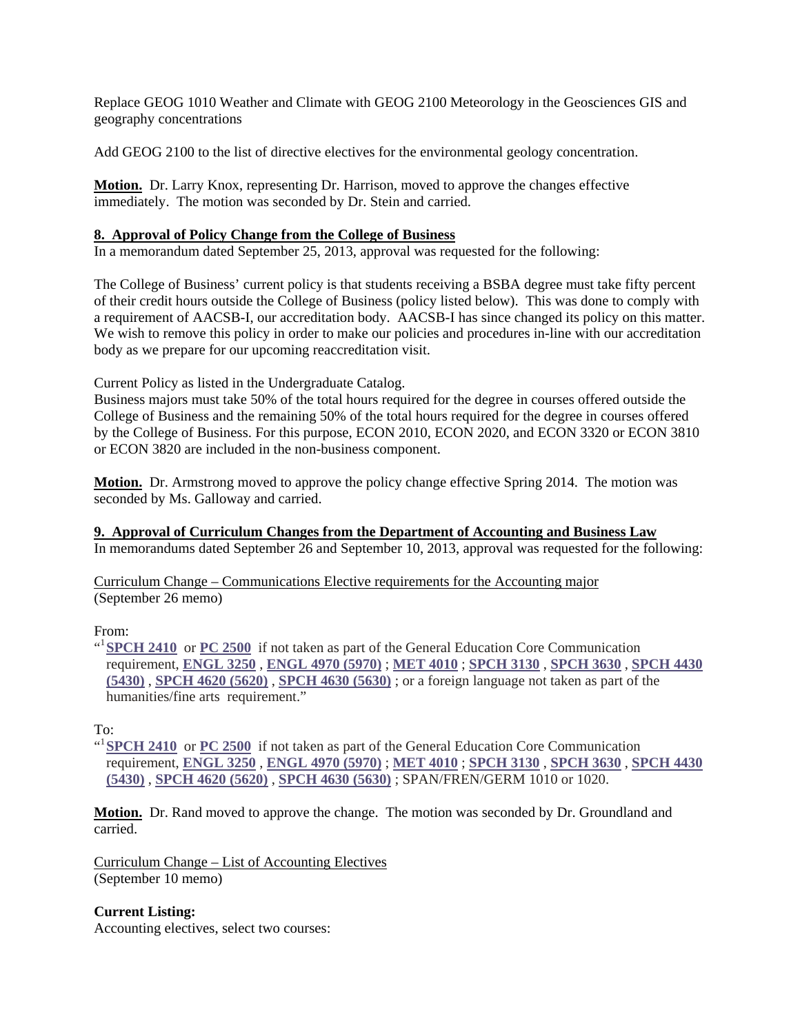Replace GEOG 1010 Weather and Climate with GEOG 2100 Meteorology in the Geosciences GIS and geography concentrations

Add GEOG 2100 to the list of directive electives for the environmental geology concentration.

**Motion.** Dr. Larry Knox, representing Dr. Harrison, moved to approve the changes effective immediately. The motion was seconded by Dr. Stein and carried.

### **8. Approval of Policy Change from the College of Business**

In a memorandum dated September 25, 2013, approval was requested for the following:

The College of Business' current policy is that students receiving a BSBA degree must take fifty percent of their credit hours outside the College of Business (policy listed below). This was done to comply with a requirement of AACSB-I, our accreditation body. AACSB-I has since changed its policy on this matter. We wish to remove this policy in order to make our policies and procedures in-line with our accreditation body as we prepare for our upcoming reaccreditation visit.

Current Policy as listed in the Undergraduate Catalog.

Business majors must take 50% of the total hours required for the degree in courses offered outside the College of Business and the remaining 50% of the total hours required for the degree in courses offered by the College of Business. For this purpose, ECON 2010, ECON 2020, and ECON 3320 or ECON 3810 or ECON 3820 are included in the non-business component.

**Motion.** Dr. Armstrong moved to approve the policy change effective Spring 2014. The motion was seconded by Ms. Galloway and carried.

**9. Approval of Curriculum Changes from the Department of Accounting and Business Law** In memorandums dated September 26 and September 10, 2013, approval was requested for the following:

Curriculum Change – Communications Elective requirements for the Accounting major (September 26 memo)

### From:

<sup>al</sup> SPCH 2410 or PC 2500 if not taken as part of the General Education Core Communication requirement, **ENGL 3250** , **ENGL 4970 (5970)** ; **MET 4010** ; **SPCH 3130** , **SPCH 3630** , **SPCH 4430 (5430)** , **SPCH 4620 (5620)** , **SPCH 4630 (5630)** ; or a foreign language not taken as part of the humanities/fine arts requirement."

To:

<sup>al</sup> SPCH 2410 or PC 2500 if not taken as part of the General Education Core Communication requirement, **ENGL 3250** , **ENGL 4970 (5970)** ; **MET 4010** ; **SPCH 3130** , **SPCH 3630** , **SPCH 4430 (5430)** , **SPCH 4620 (5620)** , **SPCH 4630 (5630)** ; SPAN/FREN/GERM 1010 or 1020.

**Motion.** Dr. Rand moved to approve the change. The motion was seconded by Dr. Groundland and carried.

Curriculum Change – List of Accounting Electives (September 10 memo)

**Current Listing:** 

Accounting electives, select two courses: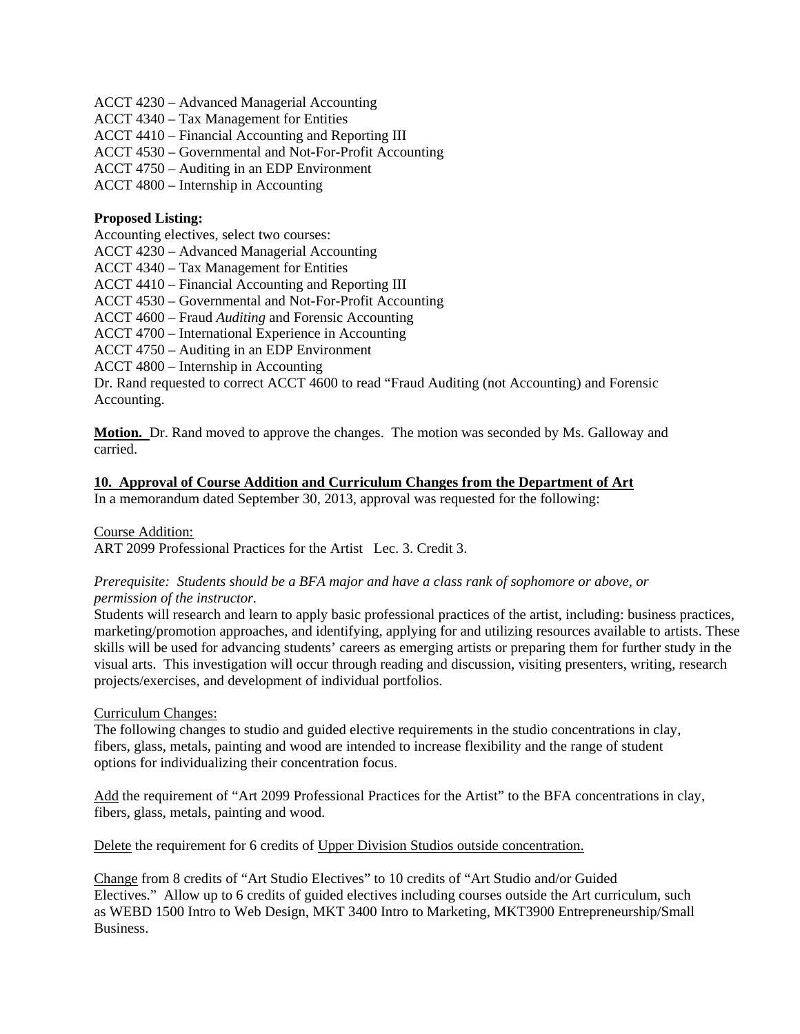ACCT 4230 – Advanced Managerial Accounting

ACCT 4340 – Tax Management for Entities

ACCT 4410 – Financial Accounting and Reporting III

ACCT 4530 – Governmental and Not-For-Profit Accounting

ACCT 4750 – Auditing in an EDP Environment

ACCT 4800 – Internship in Accounting

#### **Proposed Listing:**

Accounting electives, select two courses:

ACCT 4230 – Advanced Managerial Accounting

ACCT 4340 – Tax Management for Entities

ACCT 4410 – Financial Accounting and Reporting III

ACCT 4530 – Governmental and Not-For-Profit Accounting

ACCT 4600 – Fraud *Auditing* and Forensic Accounting

ACCT 4700 – International Experience in Accounting

ACCT 4750 – Auditing in an EDP Environment

ACCT 4800 – Internship in Accounting

Dr. Rand requested to correct ACCT 4600 to read "Fraud Auditing (not Accounting) and Forensic Accounting.

**Motion.** Dr. Rand moved to approve the changes. The motion was seconded by Ms. Galloway and carried.

## **10. Approval of Course Addition and Curriculum Changes from the Department of Art**

In a memorandum dated September 30, 2013, approval was requested for the following:

Course Addition:

ART 2099 Professional Practices for the Artist Lec. 3. Credit 3.

### *Prerequisite: Students should be a BFA major and have a class rank of sophomore or above, or permission of the instructor.*

Students will research and learn to apply basic professional practices of the artist, including: business practices, marketing/promotion approaches, and identifying, applying for and utilizing resources available to artists. These skills will be used for advancing students' careers as emerging artists or preparing them for further study in the visual arts. This investigation will occur through reading and discussion, visiting presenters, writing, research projects/exercises, and development of individual portfolios.

#### Curriculum Changes:

The following changes to studio and guided elective requirements in the studio concentrations in clay, fibers, glass, metals, painting and wood are intended to increase flexibility and the range of student options for individualizing their concentration focus.

Add the requirement of "Art 2099 Professional Practices for the Artist" to the BFA concentrations in clay, fibers, glass, metals, painting and wood.

Delete the requirement for 6 credits of Upper Division Studios outside concentration.

Change from 8 credits of "Art Studio Electives" to 10 credits of "Art Studio and/or Guided Electives." Allow up to 6 credits of guided electives including courses outside the Art curriculum, such as WEBD 1500 Intro to Web Design, MKT 3400 Intro to Marketing, MKT3900 Entrepreneurship/Small Business.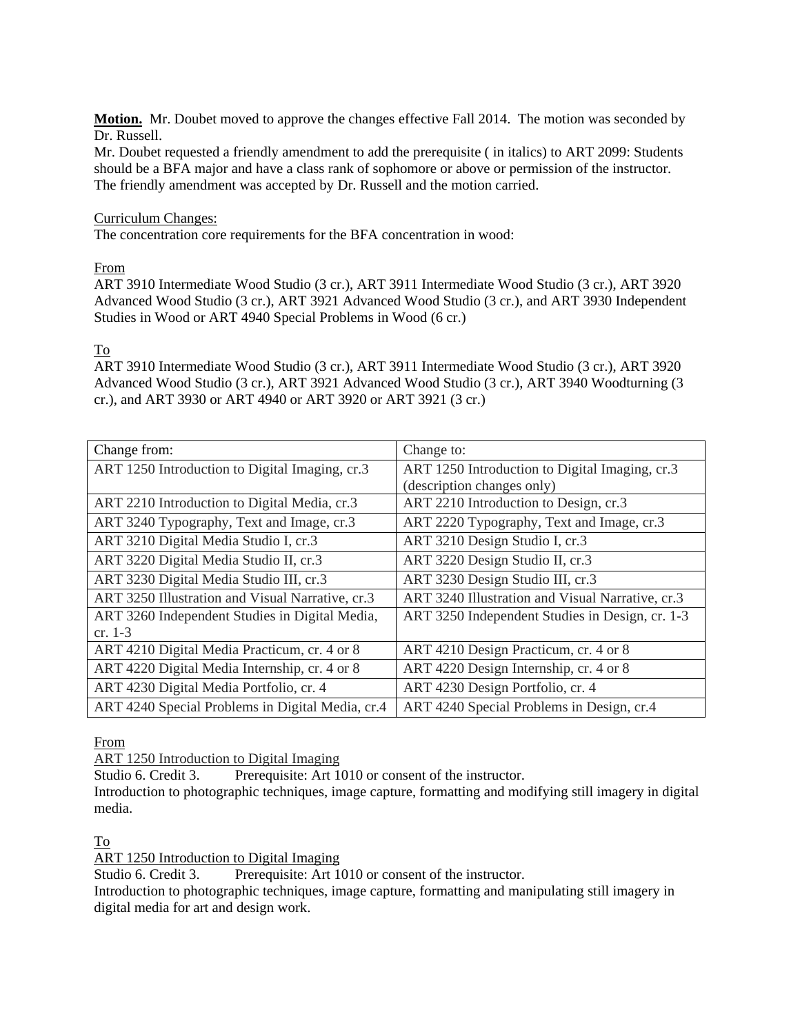**Motion.** Mr. Doubet moved to approve the changes effective Fall 2014. The motion was seconded by Dr. Russell.

Mr. Doubet requested a friendly amendment to add the prerequisite ( in italics) to ART 2099: Students should be a BFA major and have a class rank of sophomore or above or permission of the instructor. The friendly amendment was accepted by Dr. Russell and the motion carried.

### Curriculum Changes:

The concentration core requirements for the BFA concentration in wood:

From

ART 3910 Intermediate Wood Studio (3 cr.), ART 3911 Intermediate Wood Studio (3 cr.), ART 3920 Advanced Wood Studio (3 cr.), ART 3921 Advanced Wood Studio (3 cr.), and ART 3930 Independent Studies in Wood or ART 4940 Special Problems in Wood (6 cr.)

#### To

ART 3910 Intermediate Wood Studio (3 cr.), ART 3911 Intermediate Wood Studio (3 cr.), ART 3920 Advanced Wood Studio (3 cr.), ART 3921 Advanced Wood Studio (3 cr.), ART 3940 Woodturning (3 cr.), and ART 3930 or ART 4940 or ART 3920 or ART 3921 (3 cr.)

| Change from:                                     | Change to:                                       |  |
|--------------------------------------------------|--------------------------------------------------|--|
| ART 1250 Introduction to Digital Imaging, cr.3   | ART 1250 Introduction to Digital Imaging, cr.3   |  |
|                                                  | (description changes only)                       |  |
| ART 2210 Introduction to Digital Media, cr.3     | ART 2210 Introduction to Design, cr.3            |  |
| ART 3240 Typography, Text and Image, cr.3        | ART 2220 Typography, Text and Image, cr.3        |  |
| ART 3210 Digital Media Studio I, cr.3            | ART 3210 Design Studio I, cr.3                   |  |
| ART 3220 Digital Media Studio II, cr.3           | ART 3220 Design Studio II, cr.3                  |  |
| ART 3230 Digital Media Studio III, cr.3          | ART 3230 Design Studio III, cr.3                 |  |
| ART 3250 Illustration and Visual Narrative, cr.3 | ART 3240 Illustration and Visual Narrative, cr.3 |  |
| ART 3260 Independent Studies in Digital Media,   | ART 3250 Independent Studies in Design, cr. 1-3  |  |
| cr. $1-3$                                        |                                                  |  |
| ART 4210 Digital Media Practicum, cr. 4 or 8     | ART 4210 Design Practicum, cr. 4 or 8            |  |
| ART 4220 Digital Media Internship, cr. 4 or 8    | ART 4220 Design Internship, cr. 4 or 8           |  |
| ART 4230 Digital Media Portfolio, cr. 4          | ART 4230 Design Portfolio, cr. 4                 |  |
| ART 4240 Special Problems in Digital Media, cr.4 | ART 4240 Special Problems in Design, cr.4        |  |

From

ART 1250 Introduction to Digital Imaging

Studio 6. Credit 3. Prerequisite: Art 1010 or consent of the instructor.

Introduction to photographic techniques, image capture, formatting and modifying still imagery in digital media.

### To

ART 1250 Introduction to Digital Imaging

Studio 6. Credit 3. Prerequisite: Art 1010 or consent of the instructor.

Introduction to photographic techniques, image capture, formatting and manipulating still imagery in digital media for art and design work.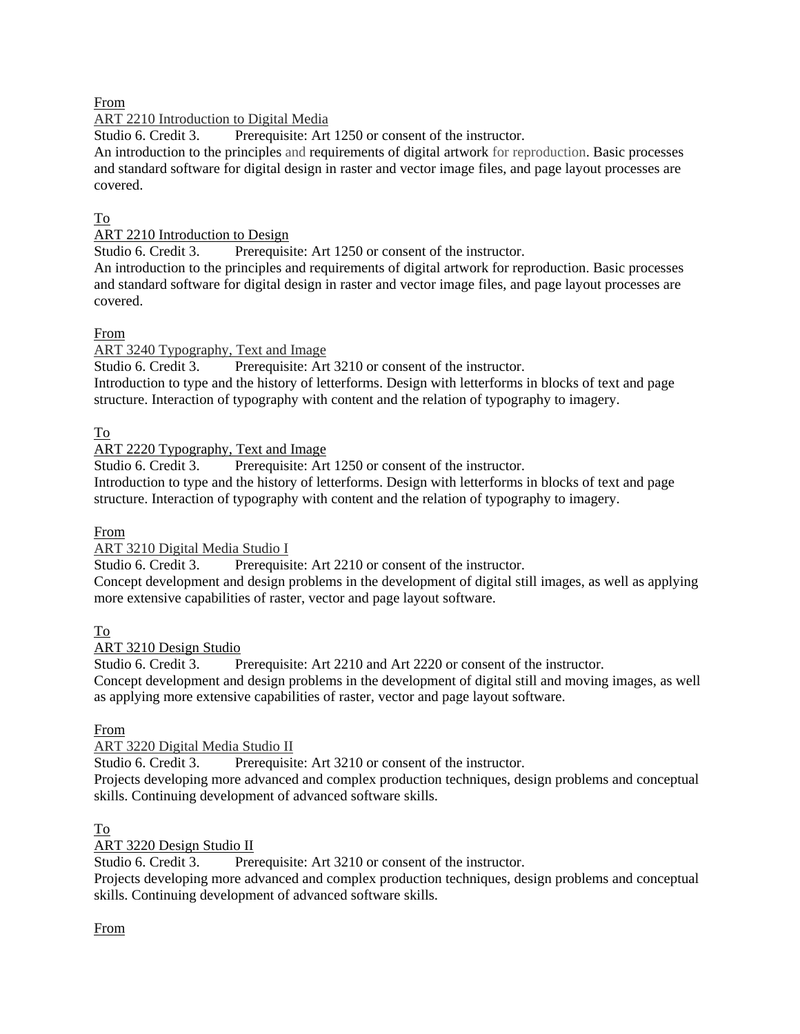From

# ART 2210 Introduction to Digital Media

Studio 6. Credit 3. Prerequisite: Art 1250 or consent of the instructor.

An introduction to the principles and requirements of digital artwork for reproduction. Basic processes and standard software for digital design in raster and vector image files, and page layout processes are covered.

# To

ART 2210 Introduction to Design

Studio 6. Credit 3. Prerequisite: Art 1250 or consent of the instructor.

An introduction to the principles and requirements of digital artwork for reproduction. Basic processes and standard software for digital design in raster and vector image files, and page layout processes are covered.

# From

ART 3240 Typography, Text and Image

Studio 6. Credit 3. Prerequisite: Art 3210 or consent of the instructor. Introduction to type and the history of letterforms. Design with letterforms in blocks of text and page

structure. Interaction of typography with content and the relation of typography to imagery.

# To

ART 2220 Typography, Text and Image

Studio 6. Credit 3. Prerequisite: Art 1250 or consent of the instructor.

Introduction to type and the history of letterforms. Design with letterforms in blocks of text and page structure. Interaction of typography with content and the relation of typography to imagery.

# From

ART 3210 Digital Media Studio I

Studio 6. Credit 3. Prerequisite: Art 2210 or consent of the instructor.

Concept development and design problems in the development of digital still images, as well as applying more extensive capabilities of raster, vector and page layout software.

# To

ART 3210 Design Studio

Studio 6. Credit 3. Prerequisite: Art 2210 and Art 2220 or consent of the instructor. Concept development and design problems in the development of digital still and moving images, as well as applying more extensive capabilities of raster, vector and page layout software.

# From

ART 3220 Digital Media Studio II

Studio 6. Credit 3. Prerequisite: Art 3210 or consent of the instructor. Projects developing more advanced and complex production techniques, design problems and conceptual skills. Continuing development of advanced software skills.

# To

ART 3220 Design Studio II

Studio 6. Credit 3. Prerequisite: Art 3210 or consent of the instructor.

Projects developing more advanced and complex production techniques, design problems and conceptual skills. Continuing development of advanced software skills.

# From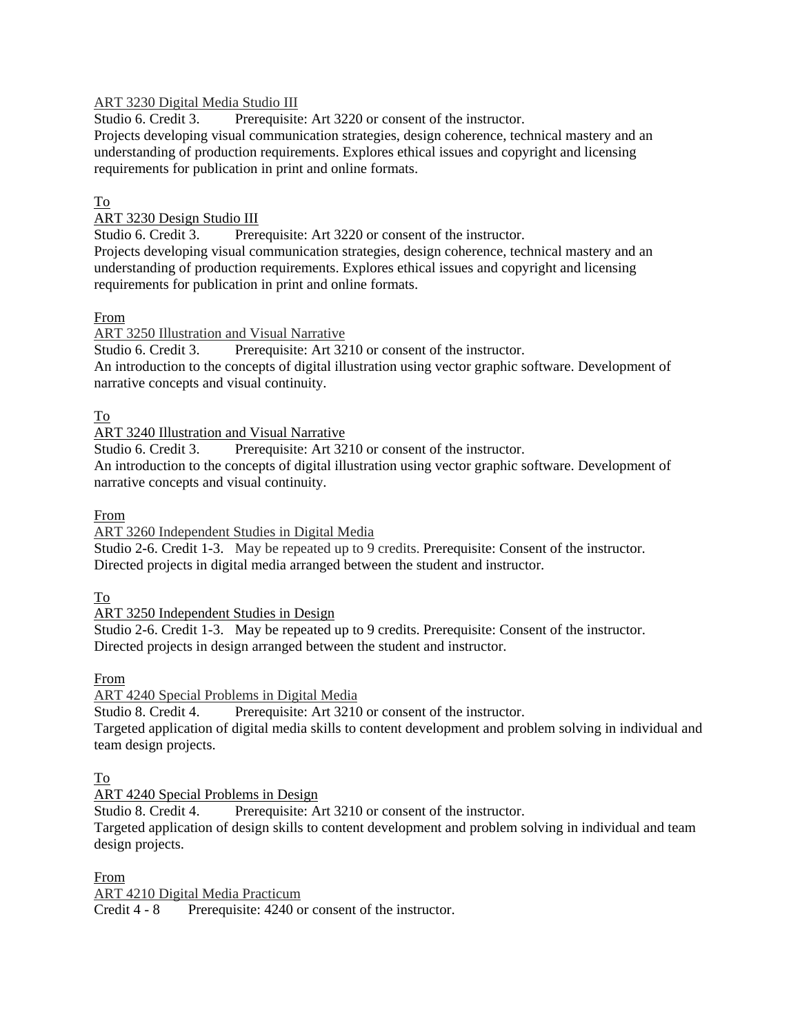## ART 3230 Digital Media Studio III

Studio 6. Credit 3. Prerequisite: Art 3220 or consent of the instructor.

Projects developing visual communication strategies, design coherence, technical mastery and an understanding of production requirements. Explores ethical issues and copyright and licensing requirements for publication in print and online formats.

## To

## ART 3230 Design Studio III

Studio 6. Credit 3. Prerequisite: Art 3220 or consent of the instructor. Projects developing visual communication strategies, design coherence, technical mastery and an

understanding of production requirements. Explores ethical issues and copyright and licensing requirements for publication in print and online formats.

## From

ART 3250 Illustration and Visual Narrative

Studio 6. Credit 3. Prerequisite: Art 3210 or consent of the instructor. An introduction to the concepts of digital illustration using vector graphic software. Development of narrative concepts and visual continuity.

## To

ART 3240 Illustration and Visual Narrative

Studio 6. Credit 3. Prerequisite: Art 3210 or consent of the instructor. An introduction to the concepts of digital illustration using vector graphic software. Development of narrative concepts and visual continuity.

## From

ART 3260 Independent Studies in Digital Media

Studio 2-6. Credit 1-3. May be repeated up to 9 credits. Prerequisite: Consent of the instructor. Directed projects in digital media arranged between the student and instructor.

To

ART 3250 Independent Studies in Design

Studio 2-6. Credit 1-3. May be repeated up to 9 credits. Prerequisite: Consent of the instructor. Directed projects in design arranged between the student and instructor.

From

ART 4240 Special Problems in Digital Media

Studio 8. Credit 4. Prerequisite: Art 3210 or consent of the instructor. Targeted application of digital media skills to content development and problem solving in individual and team design projects.

# To

ART 4240 Special Problems in Design

Studio 8. Credit 4. Prerequisite: Art 3210 or consent of the instructor.

Targeted application of design skills to content development and problem solving in individual and team design projects.

From

ART 4210 Digital Media Practicum

Credit 4 - 8 Prerequisite: 4240 or consent of the instructor.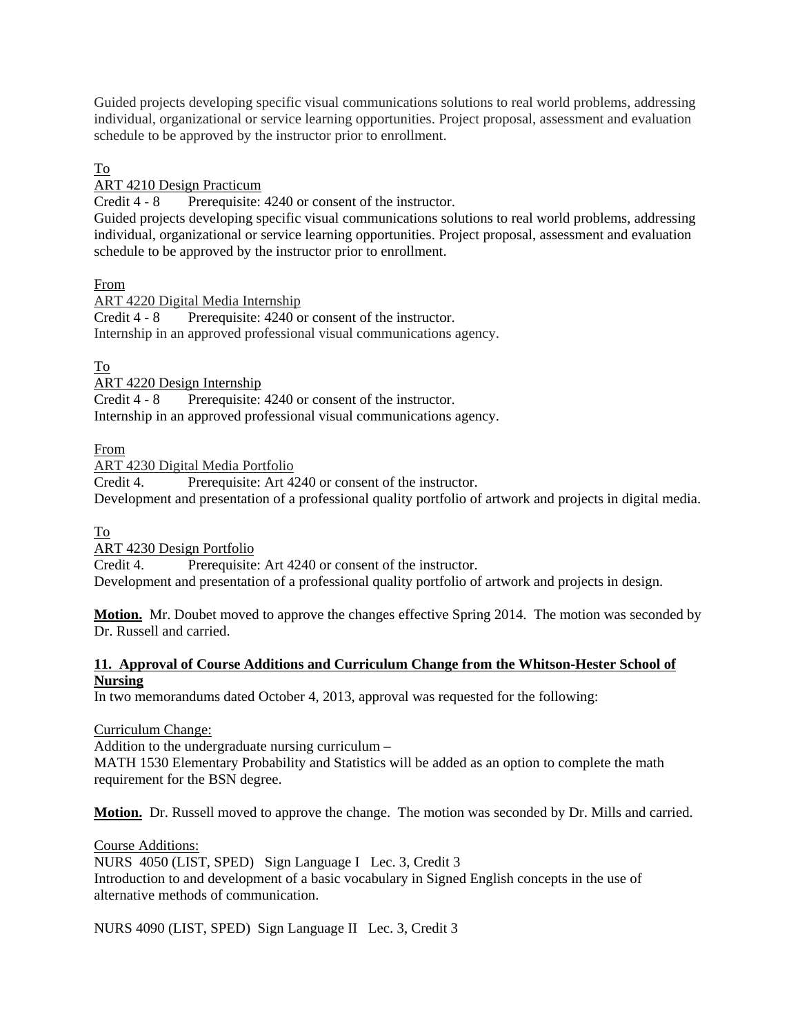Guided projects developing specific visual communications solutions to real world problems, addressing individual, organizational or service learning opportunities. Project proposal, assessment and evaluation schedule to be approved by the instructor prior to enrollment.

To

ART 4210 Design Practicum

Credit 4 - 8 Prerequisite: 4240 or consent of the instructor.

Guided projects developing specific visual communications solutions to real world problems, addressing individual, organizational or service learning opportunities. Project proposal, assessment and evaluation schedule to be approved by the instructor prior to enrollment.

From

ART 4220 Digital Media Internship Credit 4 - 8 Prerequisite: 4240 or consent of the instructor. Internship in an approved professional visual communications agency.

To

ART 4220 Design Internship

Credit 4 - 8 Prerequisite: 4240 or consent of the instructor. Internship in an approved professional visual communications agency.

From

ART 4230 Digital Media Portfolio

Credit 4. Prerequisite: Art 4240 or consent of the instructor. Development and presentation of a professional quality portfolio of artwork and projects in digital media.

To

ART 4230 Design Portfolio

Credit 4. Prerequisite: Art 4240 or consent of the instructor. Development and presentation of a professional quality portfolio of artwork and projects in design.

**Motion.** Mr. Doubet moved to approve the changes effective Spring 2014. The motion was seconded by Dr. Russell and carried.

# **11. Approval of Course Additions and Curriculum Change from the Whitson-Hester School of Nursing**

In two memorandums dated October 4, 2013, approval was requested for the following:

Curriculum Change:

Addition to the undergraduate nursing curriculum –

MATH 1530 Elementary Probability and Statistics will be added as an option to complete the math requirement for the BSN degree.

**Motion.** Dr. Russell moved to approve the change. The motion was seconded by Dr. Mills and carried.

Course Additions: NURS 4050 (LIST, SPED) Sign Language I Lec. 3, Credit 3 Introduction to and development of a basic vocabulary in Signed English concepts in the use of alternative methods of communication.

NURS 4090 (LIST, SPED) Sign Language II Lec. 3, Credit 3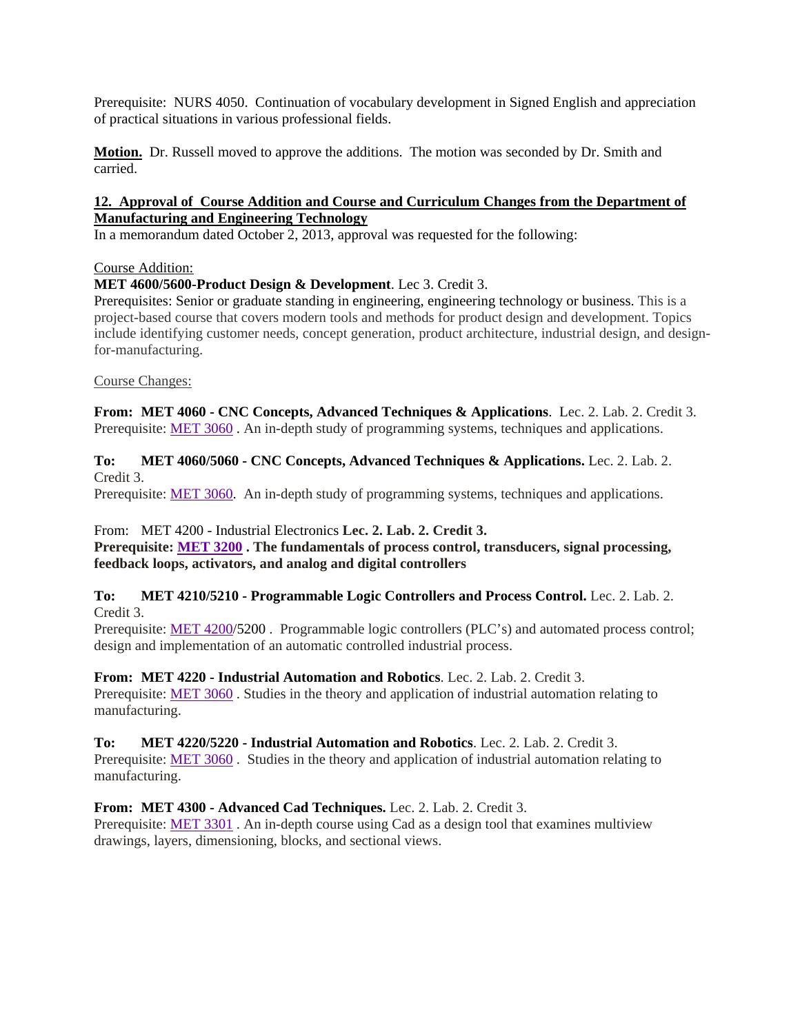Prerequisite: NURS 4050. Continuation of vocabulary development in Signed English and appreciation of practical situations in various professional fields.

**Motion.** Dr. Russell moved to approve the additions. The motion was seconded by Dr. Smith and carried.

### **12. Approval of Course Addition and Course and Curriculum Changes from the Department of Manufacturing and Engineering Technology**

In a memorandum dated October 2, 2013, approval was requested for the following:

#### Course Addition:

**MET 4600/5600-Product Design & Development**. Lec 3. Credit 3.

Prerequisites: Senior or graduate standing in engineering, engineering technology or business. This is a project-based course that covers modern tools and methods for product design and development. Topics include identifying customer needs, concept generation, product architecture, industrial design, and designfor-manufacturing.

Course Changes:

**From: MET 4060 - CNC Concepts, Advanced Techniques & Applications**. Lec. 2. Lab. 2. Credit 3. Prerequisite: MET 3060 . An in-depth study of programming systems, techniques and applications.

**To: MET 4060/5060 - CNC Concepts, Advanced Techniques & Applications.** Lec. 2. Lab. 2. Credit 3.

Prerequisite: MET 3060. An in-depth study of programming systems, techniques and applications.

From:MET 4200 - Industrial Electronics **Lec. 2. Lab. 2. Credit 3.** 

**Prerequisite: MET 3200 . The fundamentals of process control, transducers, signal processing, feedback loops, activators, and analog and digital controllers** 

#### **To: MET 4210/5210 - Programmable Logic Controllers and Process Control.** Lec. 2. Lab. 2. Credit 3.

Prerequisite: MET 4200/5200. Programmable logic controllers (PLC's) and automated process control; design and implementation of an automatic controlled industrial process.

**From: MET 4220 - Industrial Automation and Robotics**. Lec. 2. Lab. 2. Credit 3. Prerequisite: MET 3060. Studies in the theory and application of industrial automation relating to manufacturing.

### **To: MET 4220/5220 - Industrial Automation and Robotics**. Lec. 2. Lab. 2. Credit 3.

Prerequisite: MET 3060 . Studies in the theory and application of industrial automation relating to manufacturing.

**From: MET 4300 - Advanced Cad Techniques.** Lec. 2. Lab. 2. Credit 3.

Prerequisite: MET 3301. An in-depth course using Cad as a design tool that examines multiview drawings, layers, dimensioning, blocks, and sectional views.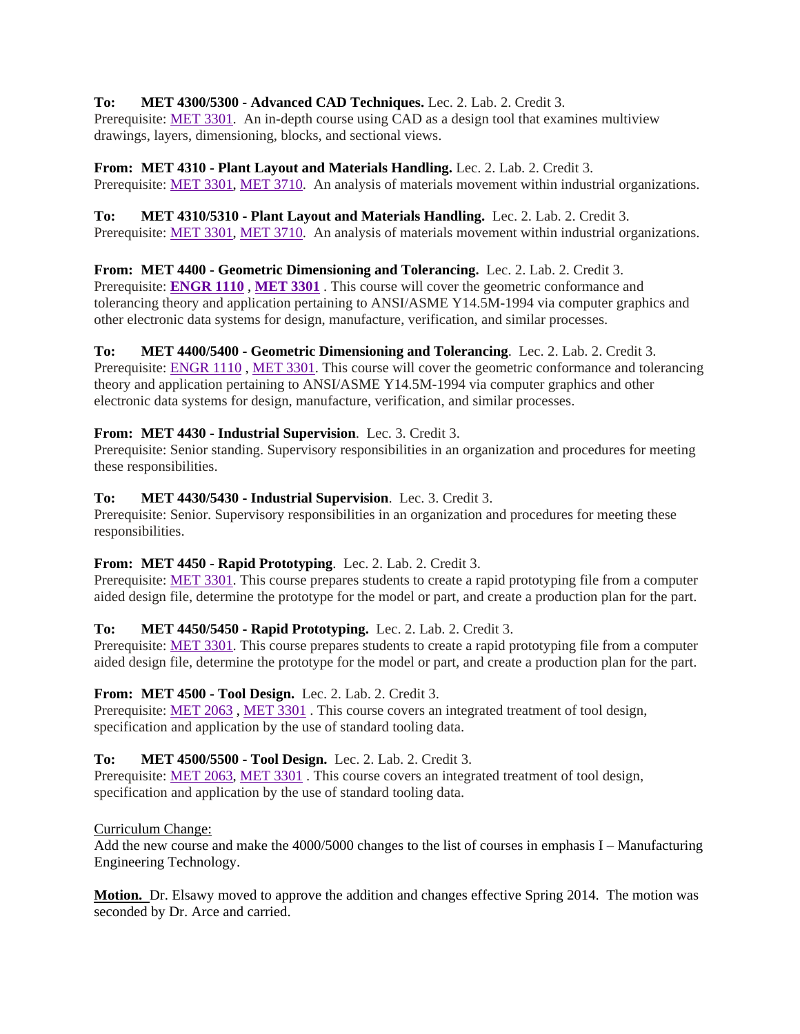# **To: MET 4300/5300 - Advanced CAD Techniques.** Lec. 2. Lab. 2. Credit 3.

Prerequisite: MET 3301. An in-depth course using CAD as a design tool that examines multiview drawings, layers, dimensioning, blocks, and sectional views.

**From: MET 4310 - Plant Layout and Materials Handling.** Lec. 2. Lab. 2. Credit 3. Prerequisite: MET 3301, MET 3710. An analysis of materials movement within industrial organizations.

**To: MET 4310/5310 - Plant Layout and Materials Handling.** Lec. 2. Lab. 2. Credit 3. Prerequisite: MET 3301, MET 3710. An analysis of materials movement within industrial organizations.

**From: MET 4400 - Geometric Dimensioning and Tolerancing.** Lec. 2. Lab. 2. Credit 3. Prerequisite: **ENGR 1110** , **MET 3301** . This course will cover the geometric conformance and tolerancing theory and application pertaining to ANSI/ASME Y14.5M-1994 via computer graphics and other electronic data systems for design, manufacture, verification, and similar processes.

# **To: MET 4400/5400 - Geometric Dimensioning and Tolerancing**. Lec. 2. Lab. 2. Credit 3.

Prerequisite: ENGR 1110, MET 3301. This course will cover the geometric conformance and tolerancing theory and application pertaining to ANSI/ASME Y14.5M-1994 via computer graphics and other electronic data systems for design, manufacture, verification, and similar processes.

# **From: MET 4430 - Industrial Supervision**. Lec. 3. Credit 3.

Prerequisite: Senior standing. Supervisory responsibilities in an organization and procedures for meeting these responsibilities.

# **To: MET 4430/5430 - Industrial Supervision**. Lec. 3. Credit 3.

Prerequisite: Senior. Supervisory responsibilities in an organization and procedures for meeting these responsibilities.

# **From: MET 4450 - Rapid Prototyping**. Lec. 2. Lab. 2. Credit 3.

Prerequisite: MET 3301. This course prepares students to create a rapid prototyping file from a computer aided design file, determine the prototype for the model or part, and create a production plan for the part.

# **To: MET 4450/5450 - Rapid Prototyping.** Lec. 2. Lab. 2. Credit 3.

Prerequisite: MET 3301. This course prepares students to create a rapid prototyping file from a computer aided design file, determine the prototype for the model or part, and create a production plan for the part.

# **From: MET 4500 - Tool Design.** Lec. 2. Lab. 2. Credit 3.

Prerequisite: MET 2063, MET 3301. This course covers an integrated treatment of tool design, specification and application by the use of standard tooling data.

# **To: MET 4500/5500 - Tool Design.** Lec. 2. Lab. 2. Credit 3.

Prerequisite: MET 2063, MET 3301. This course covers an integrated treatment of tool design, specification and application by the use of standard tooling data.

# Curriculum Change:

Add the new course and make the 4000/5000 changes to the list of courses in emphasis I – Manufacturing Engineering Technology.

**Motion.** Dr. Elsawy moved to approve the addition and changes effective Spring 2014. The motion was seconded by Dr. Arce and carried.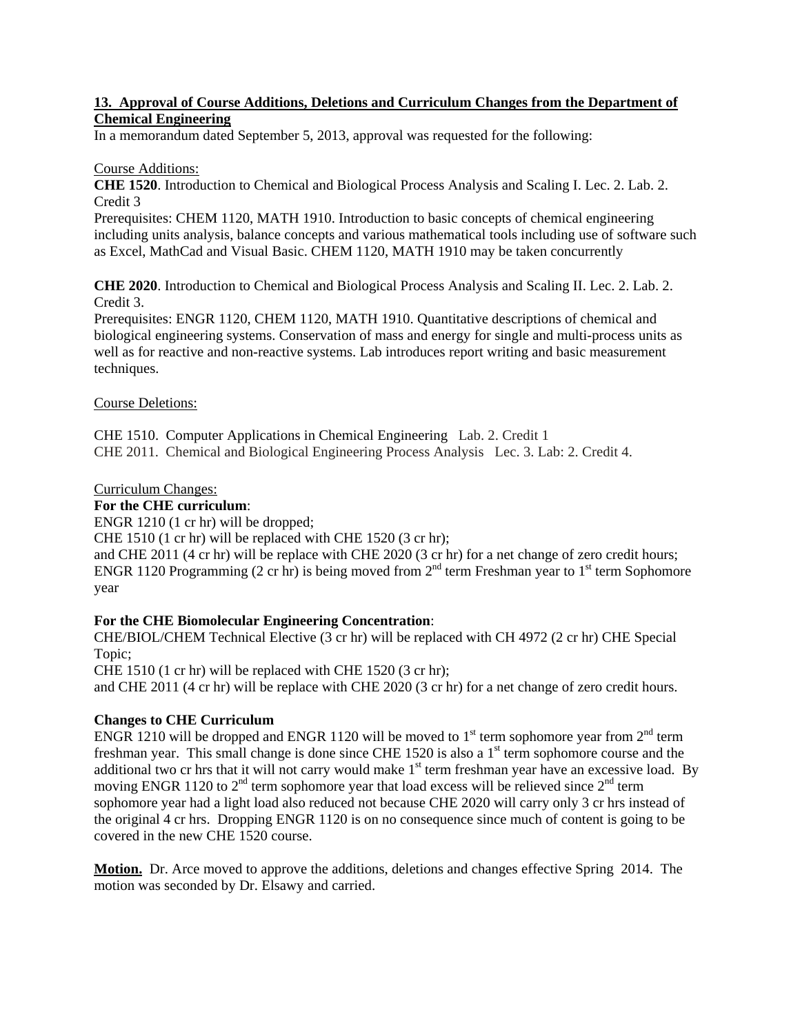### **13. Approval of Course Additions, Deletions and Curriculum Changes from the Department of Chemical Engineering**

In a memorandum dated September 5, 2013, approval was requested for the following:

### Course Additions:

**CHE 1520**. Introduction to Chemical and Biological Process Analysis and Scaling I. Lec. 2. Lab. 2. Credit 3

Prerequisites: CHEM 1120, MATH 1910. Introduction to basic concepts of chemical engineering including units analysis, balance concepts and various mathematical tools including use of software such as Excel, MathCad and Visual Basic. CHEM 1120, MATH 1910 may be taken concurrently

**CHE 2020**. Introduction to Chemical and Biological Process Analysis and Scaling II. Lec. 2. Lab. 2. Credit 3.

Prerequisites: ENGR 1120, CHEM 1120, MATH 1910. Quantitative descriptions of chemical and biological engineering systems. Conservation of mass and energy for single and multi-process units as well as for reactive and non-reactive systems. Lab introduces report writing and basic measurement techniques.

### Course Deletions:

CHE 1510. Computer Applications in Chemical Engineering Lab. 2. Credit 1 CHE 2011. Chemical and Biological Engineering Process Analysis Lec. 3. Lab: 2. Credit 4.

### Curriculum Changes:

## **For the CHE curriculum**:

ENGR 1210 (1 cr hr) will be dropped;

CHE 1510 (1 cr hr) will be replaced with CHE 1520 (3 cr hr);

and CHE 2011 (4 cr hr) will be replace with CHE 2020 (3 cr hr) for a net change of zero credit hours; ENGR 1120 Programming (2 cr hr) is being moved from  $2<sup>nd</sup>$  term Freshman year to 1<sup>st</sup> term Sophomore year

# **For the CHE Biomolecular Engineering Concentration**:

CHE/BIOL/CHEM Technical Elective (3 cr hr) will be replaced with CH 4972 (2 cr hr) CHE Special Topic;

CHE 1510 (1 cr hr) will be replaced with CHE 1520 (3 cr hr);

and CHE 2011 (4 cr hr) will be replace with CHE 2020 (3 cr hr) for a net change of zero credit hours.

# **Changes to CHE Curriculum**

ENGR 1210 will be dropped and ENGR 1120 will be moved to 1<sup>st</sup> term sophomore year from  $2<sup>nd</sup>$  term freshman year. This small change is done since CHE 1520 is also a  $1<sup>st</sup>$  term sophomore course and the additional two cr hrs that it will not carry would make  $1<sup>st</sup>$  term freshman year have an excessive load. By moving ENGR 1120 to  $2<sup>nd</sup>$  term sophomore year that load excess will be relieved since  $2<sup>nd</sup>$  term sophomore year had a light load also reduced not because CHE 2020 will carry only 3 cr hrs instead of the original 4 cr hrs. Dropping ENGR 1120 is on no consequence since much of content is going to be covered in the new CHE 1520 course.

**Motion.** Dr. Arce moved to approve the additions, deletions and changes effective Spring 2014. The motion was seconded by Dr. Elsawy and carried.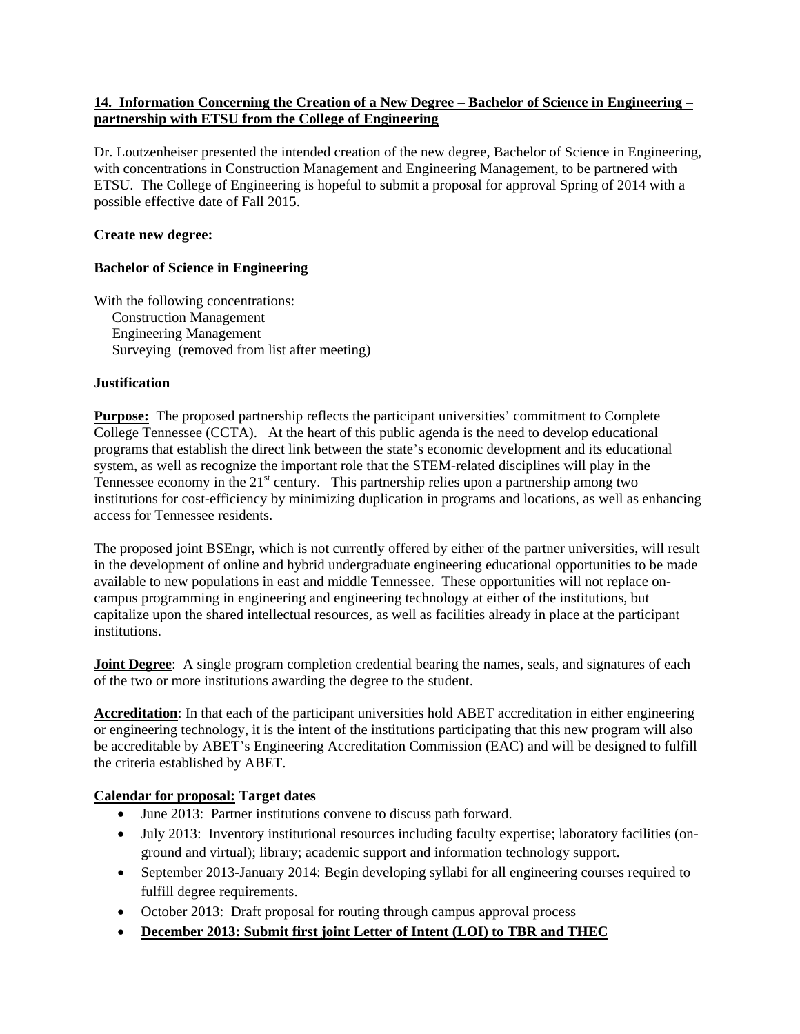## **14. Information Concerning the Creation of a New Degree – Bachelor of Science in Engineering – partnership with ETSU from the College of Engineering**

Dr. Loutzenheiser presented the intended creation of the new degree, Bachelor of Science in Engineering, with concentrations in Construction Management and Engineering Management, to be partnered with ETSU. The College of Engineering is hopeful to submit a proposal for approval Spring of 2014 with a possible effective date of Fall 2015.

## **Create new degree:**

## **Bachelor of Science in Engineering**

With the following concentrations: Construction Management Engineering Management **Surveying** (removed from list after meeting)

## **Justification**

**Purpose:** The proposed partnership reflects the participant universities' commitment to Complete College Tennessee (CCTA). At the heart of this public agenda is the need to develop educational programs that establish the direct link between the state's economic development and its educational system, as well as recognize the important role that the STEM-related disciplines will play in the Tennessee economy in the  $21<sup>st</sup>$  century. This partnership relies upon a partnership among two institutions for cost-efficiency by minimizing duplication in programs and locations, as well as enhancing access for Tennessee residents.

The proposed joint BSEngr, which is not currently offered by either of the partner universities, will result in the development of online and hybrid undergraduate engineering educational opportunities to be made available to new populations in east and middle Tennessee. These opportunities will not replace oncampus programming in engineering and engineering technology at either of the institutions, but capitalize upon the shared intellectual resources, as well as facilities already in place at the participant institutions.

**Joint Degree:** A single program completion credential bearing the names, seals, and signatures of each of the two or more institutions awarding the degree to the student.

**Accreditation**: In that each of the participant universities hold ABET accreditation in either engineering or engineering technology, it is the intent of the institutions participating that this new program will also be accreditable by ABET's Engineering Accreditation Commission (EAC) and will be designed to fulfill the criteria established by ABET.

# **Calendar for proposal: Target dates**

- June 2013: Partner institutions convene to discuss path forward.
- July 2013: Inventory institutional resources including faculty expertise; laboratory facilities (onground and virtual); library; academic support and information technology support.
- September 2013-January 2014: Begin developing syllabi for all engineering courses required to fulfill degree requirements.
- October 2013: Draft proposal for routing through campus approval process
- **December 2013: Submit first joint Letter of Intent (LOI) to TBR and THEC**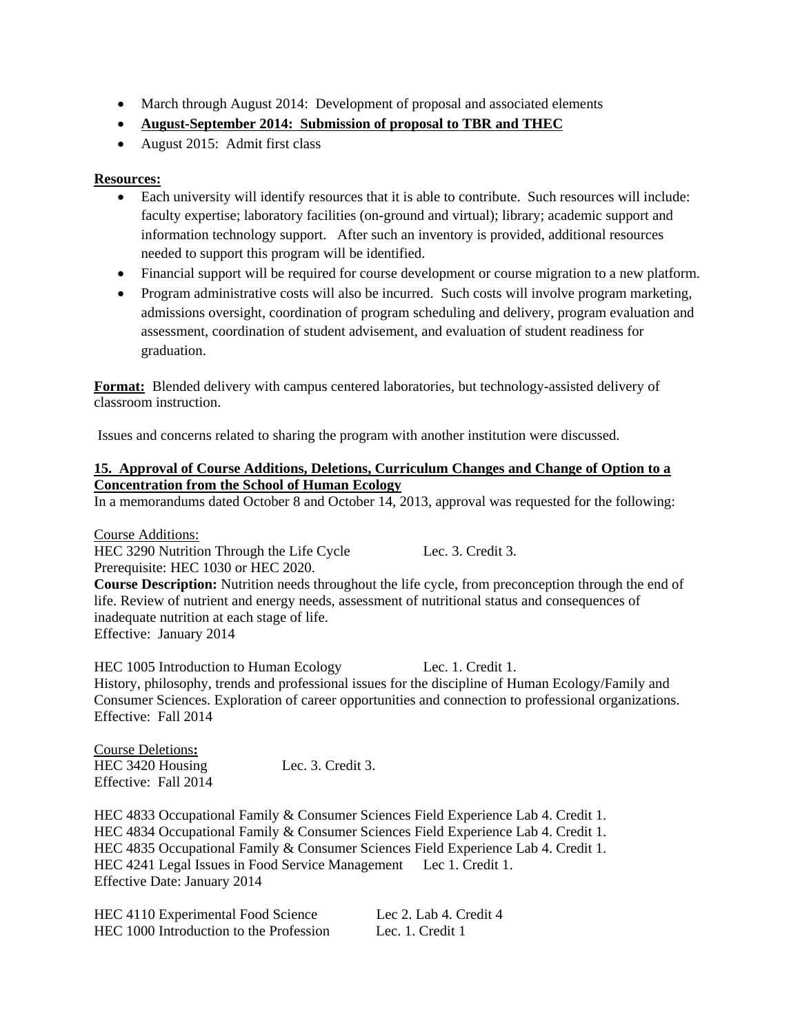- March through August 2014: Development of proposal and associated elements
- **August-September 2014: Submission of proposal to TBR and THEC**
- August 2015: Admit first class

### **Resources:**

- Each university will identify resources that it is able to contribute. Such resources will include: faculty expertise; laboratory facilities (on-ground and virtual); library; academic support and information technology support. After such an inventory is provided, additional resources needed to support this program will be identified.
- Financial support will be required for course development or course migration to a new platform.
- Program administrative costs will also be incurred. Such costs will involve program marketing, admissions oversight, coordination of program scheduling and delivery, program evaluation and assessment, coordination of student advisement, and evaluation of student readiness for graduation.

**Format:** Blended delivery with campus centered laboratories, but technology-assisted delivery of classroom instruction.

Issues and concerns related to sharing the program with another institution were discussed.

#### **15. Approval of Course Additions, Deletions, Curriculum Changes and Change of Option to a Concentration from the School of Human Ecology**

In a memorandums dated October 8 and October 14, 2013, approval was requested for the following:

Course Additions: HEC 3290 Nutrition Through the Life Cycle Lec. 3. Credit 3. Prerequisite: HEC 1030 or HEC 2020.

**Course Description:** Nutrition needs throughout the life cycle, from preconception through the end of life. Review of nutrient and energy needs, assessment of nutritional status and consequences of inadequate nutrition at each stage of life. Effective: January 2014

HEC 1005 Introduction to Human Ecology Lec. 1. Credit 1. History, philosophy, trends and professional issues for the discipline of Human Ecology/Family and Consumer Sciences. Exploration of career opportunities and connection to professional organizations. Effective: Fall 2014

Course Deletions**:**  HEC 3420 Housing Lec. 3. Credit 3. Effective: Fall 2014

HEC 4833 Occupational Family & Consumer Sciences Field Experience Lab 4. Credit 1. HEC 4834 Occupational Family & Consumer Sciences Field Experience Lab 4. Credit 1. HEC 4835 Occupational Family & Consumer Sciences Field Experience Lab 4. Credit 1. HEC 4241 Legal Issues in Food Service Management Lec 1. Credit 1. Effective Date: January 2014

| HEC 4110 Experimental Food Science      | Lec 2. Lab 4. Credit 4 |
|-----------------------------------------|------------------------|
| HEC 1000 Introduction to the Profession | Lec. 1. Credit 1       |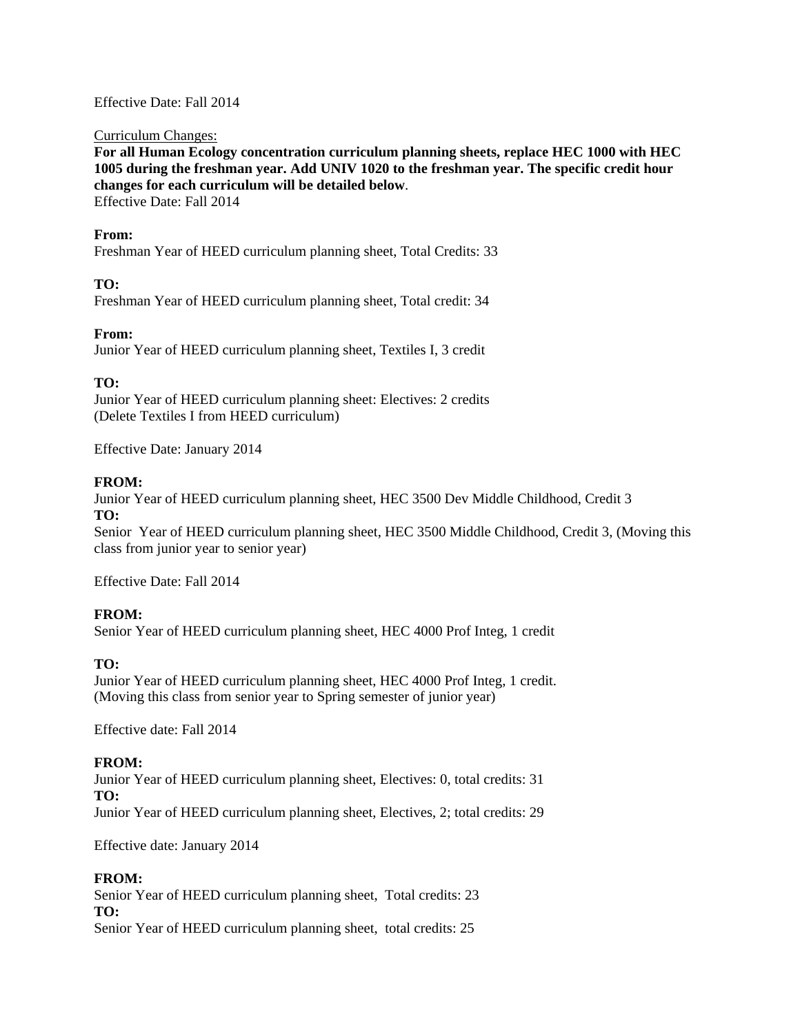Effective Date: Fall 2014

Curriculum Changes:

**For all Human Ecology concentration curriculum planning sheets, replace HEC 1000 with HEC 1005 during the freshman year. Add UNIV 1020 to the freshman year. The specific credit hour changes for each curriculum will be detailed below**.

Effective Date: Fall 2014

#### **From:**

Freshman Year of HEED curriculum planning sheet, Total Credits: 33

## **TO:**

Freshman Year of HEED curriculum planning sheet, Total credit: 34

### **From:**

Junior Year of HEED curriculum planning sheet, Textiles I, 3 credit

## **TO:**

Junior Year of HEED curriculum planning sheet: Electives: 2 credits (Delete Textiles I from HEED curriculum)

Effective Date: January 2014

## **FROM:**

Junior Year of HEED curriculum planning sheet, HEC 3500 Dev Middle Childhood, Credit 3 **TO:** 

Senior Year of HEED curriculum planning sheet, HEC 3500 Middle Childhood, Credit 3, (Moving this class from junior year to senior year)

Effective Date: Fall 2014

# **FROM:**

Senior Year of HEED curriculum planning sheet, HEC 4000 Prof Integ, 1 credit

### **TO:**

Junior Year of HEED curriculum planning sheet, HEC 4000 Prof Integ, 1 credit. (Moving this class from senior year to Spring semester of junior year)

Effective date: Fall 2014

### **FROM:**

Junior Year of HEED curriculum planning sheet, Electives: 0, total credits: 31 **TO:**  Junior Year of HEED curriculum planning sheet, Electives, 2; total credits: 29

Effective date: January 2014

### **FROM:**

Senior Year of HEED curriculum planning sheet, Total credits: 23 **TO:**  Senior Year of HEED curriculum planning sheet, total credits: 25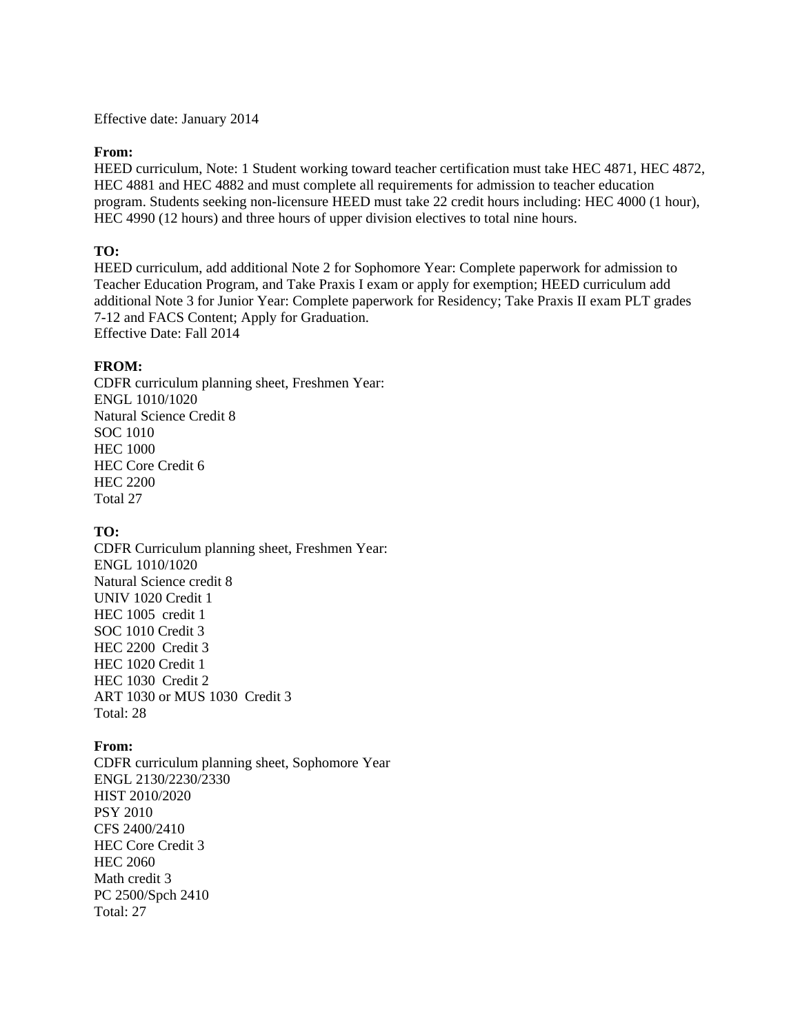Effective date: January 2014

#### **From:**

HEED curriculum, Note: 1 Student working toward teacher certification must take HEC 4871, HEC 4872, HEC 4881 and HEC 4882 and must complete all requirements for admission to teacher education program. Students seeking non-licensure HEED must take 22 credit hours including: HEC 4000 (1 hour), HEC 4990 (12 hours) and three hours of upper division electives to total nine hours.

### **TO:**

HEED curriculum, add additional Note 2 for Sophomore Year: Complete paperwork for admission to Teacher Education Program, and Take Praxis I exam or apply for exemption; HEED curriculum add additional Note 3 for Junior Year: Complete paperwork for Residency; Take Praxis II exam PLT grades 7-12 and FACS Content; Apply for Graduation. Effective Date: Fall 2014

### **FROM:**

CDFR curriculum planning sheet, Freshmen Year: ENGL 1010/1020 Natural Science Credit 8 SOC 1010 HEC 1000 HEC Core Credit 6 HEC 2200 Total 27

### **TO:**

CDFR Curriculum planning sheet, Freshmen Year: ENGL 1010/1020 Natural Science credit 8 UNIV 1020 Credit 1 HEC 1005 credit 1 SOC 1010 Credit 3 HEC 2200 Credit 3 HEC 1020 Credit 1 HEC 1030 Credit 2 ART 1030 or MUS 1030 Credit 3 Total: 28

### **From:**

CDFR curriculum planning sheet, Sophomore Year ENGL 2130/2230/2330 HIST 2010/2020 PSY 2010 CFS 2400/2410 HEC Core Credit 3 HEC 2060 Math credit 3 PC 2500/Spch 2410 Total: 27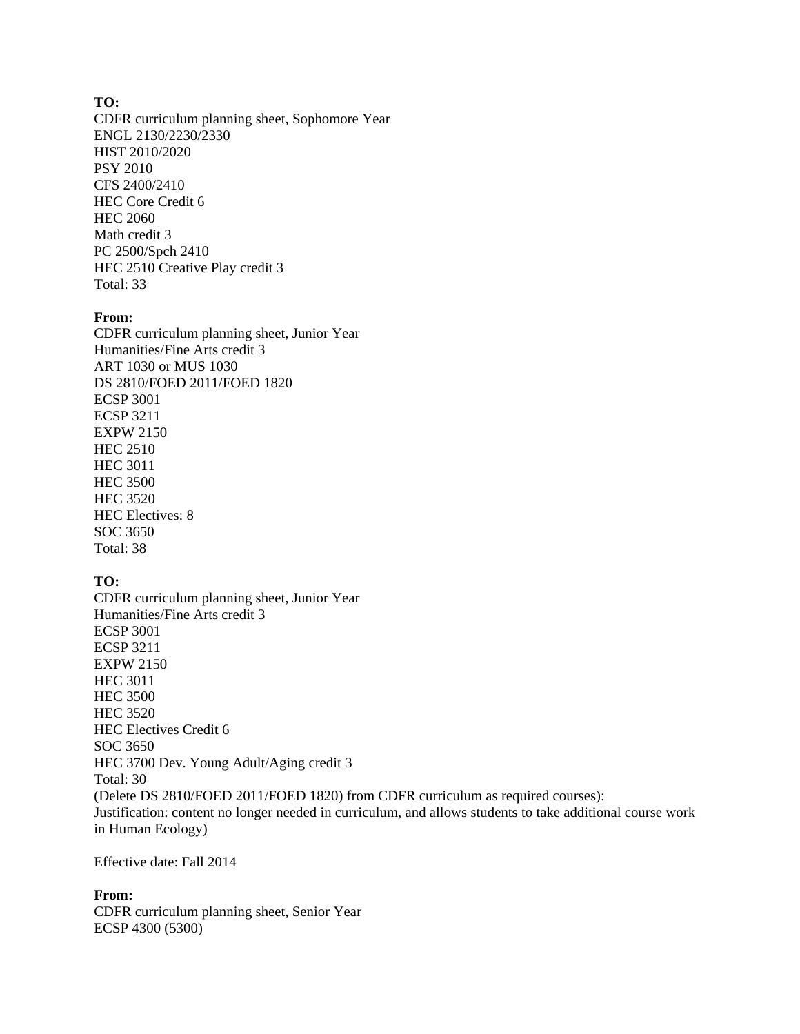#### **TO:**

CDFR curriculum planning sheet, Sophomore Year ENGL 2130/2230/2330 HIST 2010/2020 PSY 2010 CFS 2400/2410 HEC Core Credit 6 HEC 2060 Math credit 3 PC 2500/Spch 2410 HEC 2510 Creative Play credit 3 Total: 33

### **From:**

CDFR curriculum planning sheet, Junior Year Humanities/Fine Arts credit 3 ART 1030 or MUS 1030 DS 2810/FOED 2011/FOED 1820 ECSP 3001 ECSP 3211 EXPW 2150 HEC 2510 HEC 3011 HEC 3500 HEC 3520 HEC Electives: 8 SOC 3650 Total: 38

### **TO:**

CDFR curriculum planning sheet, Junior Year Humanities/Fine Arts credit 3 ECSP 3001 ECSP 3211 EXPW 2150 HEC 3011 HEC 3500 HEC 3520 HEC Electives Credit 6 SOC 3650 HEC 3700 Dev. Young Adult/Aging credit 3 Total: 30 (Delete DS 2810/FOED 2011/FOED 1820) from CDFR curriculum as required courses): Justification: content no longer needed in curriculum, and allows students to take additional course work in Human Ecology)

Effective date: Fall 2014

### **From:**

CDFR curriculum planning sheet, Senior Year ECSP 4300 (5300)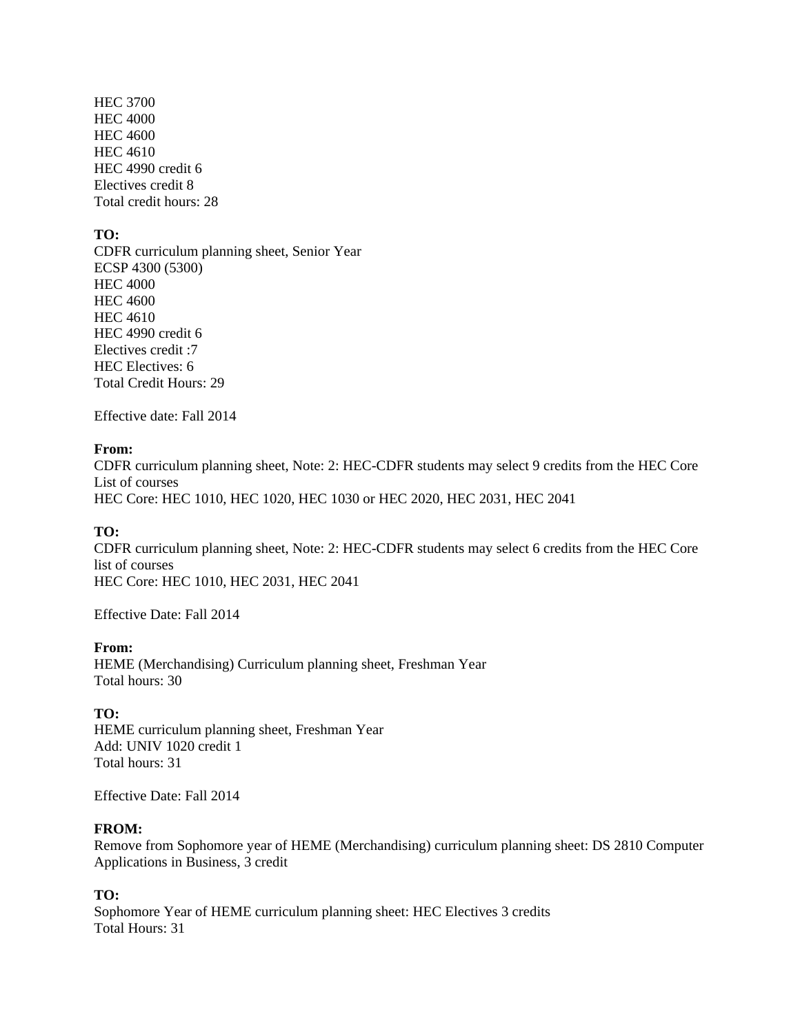HEC 3700 HEC 4000 HEC 4600 HEC 4610 HEC 4990 credit 6 Electives credit 8 Total credit hours: 28

#### **TO:**

CDFR curriculum planning sheet, Senior Year ECSP 4300 (5300) HEC 4000 HEC 4600 HEC 4610 HEC 4990 credit 6 Electives credit :7 HEC Electives: 6 Total Credit Hours: 29

Effective date: Fall 2014

#### **From:**

CDFR curriculum planning sheet, Note: 2: HEC-CDFR students may select 9 credits from the HEC Core List of courses HEC Core: HEC 1010, HEC 1020, HEC 1030 or HEC 2020, HEC 2031, HEC 2041

#### **TO:**

CDFR curriculum planning sheet, Note: 2: HEC-CDFR students may select 6 credits from the HEC Core list of courses HEC Core: HEC 1010, HEC 2031, HEC 2041

Effective Date: Fall 2014

#### **From:**

HEME (Merchandising) Curriculum planning sheet, Freshman Year Total hours: 30

#### **TO:**

HEME curriculum planning sheet, Freshman Year Add: UNIV 1020 credit 1 Total hours: 31

Effective Date: Fall 2014

#### **FROM:**

Remove from Sophomore year of HEME (Merchandising) curriculum planning sheet: DS 2810 Computer Applications in Business, 3 credit

### **TO:**

Sophomore Year of HEME curriculum planning sheet: HEC Electives 3 credits Total Hours: 31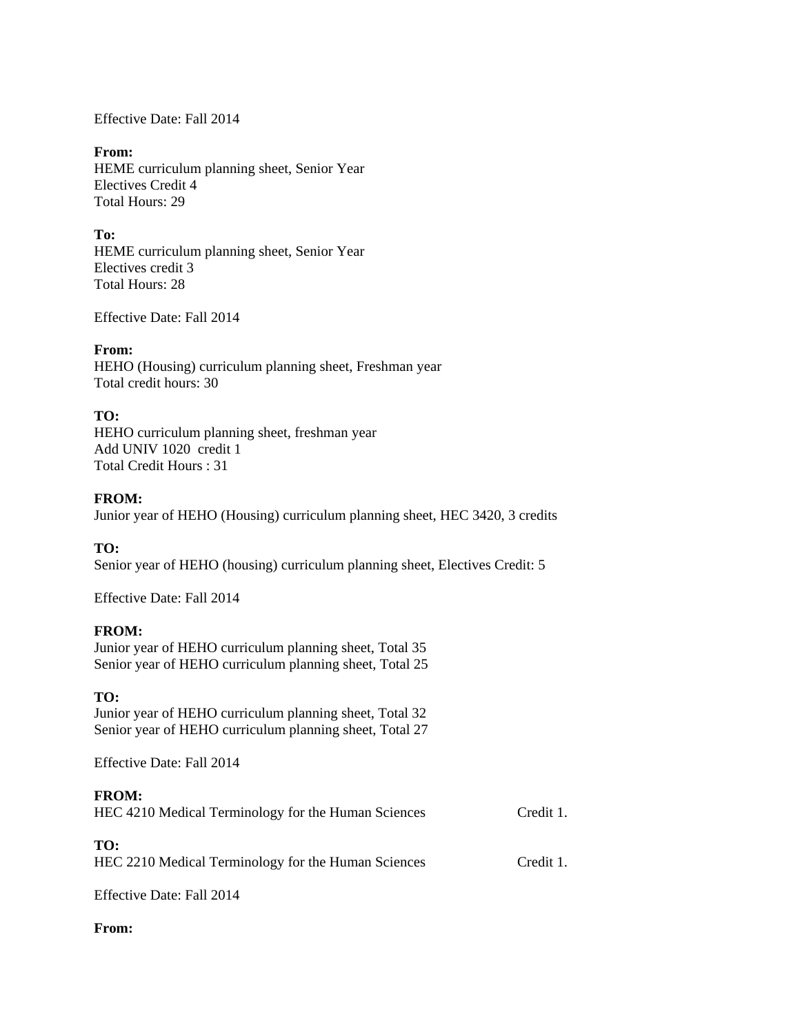Effective Date: Fall 2014

#### **From:**

HEME curriculum planning sheet, Senior Year Electives Credit 4 Total Hours: 29

### **To:**

HEME curriculum planning sheet, Senior Year Electives credit 3 Total Hours: 28

Effective Date: Fall 2014

### **From:**

HEHO (Housing) curriculum planning sheet, Freshman year Total credit hours: 30

## **TO:**

HEHO curriculum planning sheet, freshman year Add UNIV 1020 credit 1 Total Credit Hours : 31

### **FROM:**

Junior year of HEHO (Housing) curriculum planning sheet, HEC 3420, 3 credits

### **TO:**

Senior year of HEHO (housing) curriculum planning sheet, Electives Credit: 5

Effective Date: Fall 2014

### **FROM:**

Junior year of HEHO curriculum planning sheet, Total 35 Senior year of HEHO curriculum planning sheet, Total 25

### **TO:**

Junior year of HEHO curriculum planning sheet, Total 32 Senior year of HEHO curriculum planning sheet, Total 27

Effective Date: Fall 2014

### **FROM:**

| HEC 4210 Medical Terminology for the Human Sciences | Credit 1. |
|-----------------------------------------------------|-----------|
|-----------------------------------------------------|-----------|

#### **TO:**

HEC 2210 Medical Terminology for the Human Sciences Credit 1.

Effective Date: Fall 2014

### **From:**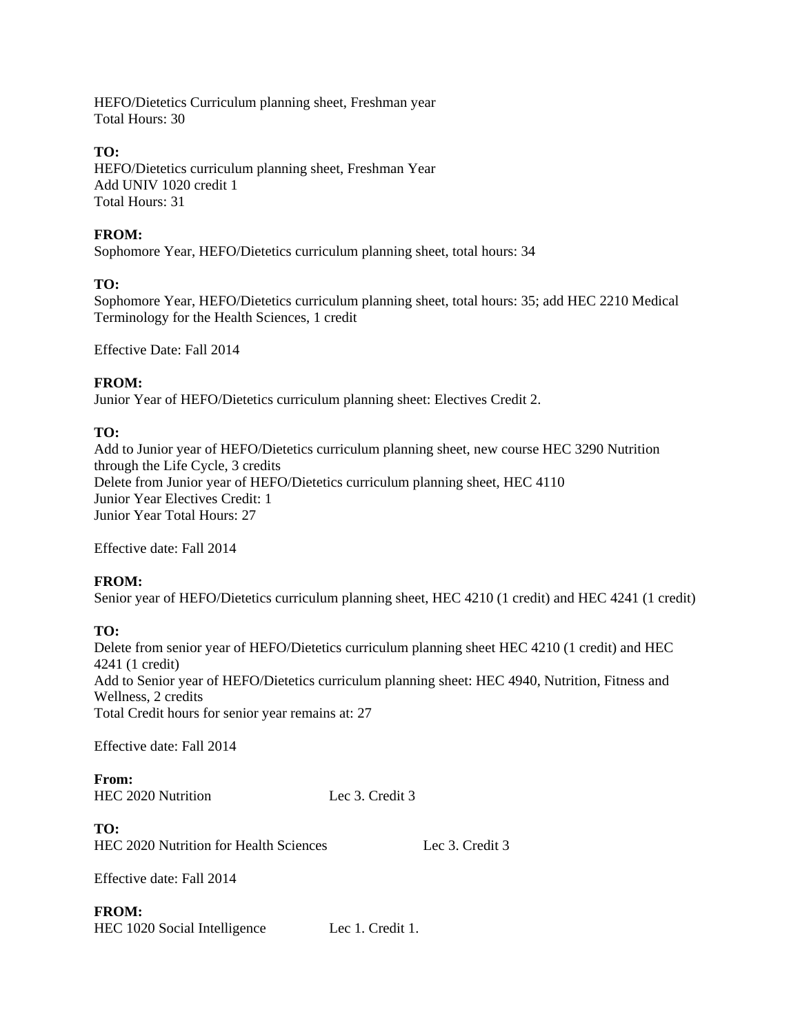HEFO/Dietetics Curriculum planning sheet, Freshman year Total Hours: 30

## **TO:**

HEFO/Dietetics curriculum planning sheet, Freshman Year Add UNIV 1020 credit 1 Total Hours: 31

## **FROM:**

Sophomore Year, HEFO/Dietetics curriculum planning sheet, total hours: 34

# **TO:**

Sophomore Year, HEFO/Dietetics curriculum planning sheet, total hours: 35; add HEC 2210 Medical Terminology for the Health Sciences, 1 credit

Effective Date: Fall 2014

# **FROM:**

Junior Year of HEFO/Dietetics curriculum planning sheet: Electives Credit 2.

# **TO:**

Add to Junior year of HEFO/Dietetics curriculum planning sheet, new course HEC 3290 Nutrition through the Life Cycle, 3 credits Delete from Junior year of HEFO/Dietetics curriculum planning sheet, HEC 4110 Junior Year Electives Credit: 1 Junior Year Total Hours: 27

Effective date: Fall 2014

# **FROM:**

Senior year of HEFO/Dietetics curriculum planning sheet, HEC 4210 (1 credit) and HEC 4241 (1 credit)

# **TO:**

Delete from senior year of HEFO/Dietetics curriculum planning sheet HEC 4210 (1 credit) and HEC 4241 (1 credit) Add to Senior year of HEFO/Dietetics curriculum planning sheet: HEC 4940, Nutrition, Fitness and Wellness, 2 credits Total Credit hours for senior year remains at: 27

Effective date: Fall 2014

**From:**  HEC 2020 Nutrition Lec 3. Credit 3

**TO:**  HEC 2020 Nutrition for Health Sciences Lec 3. Credit 3

Effective date: Fall 2014

# **FROM:**

HEC 1020 Social Intelligence Lec 1. Credit 1.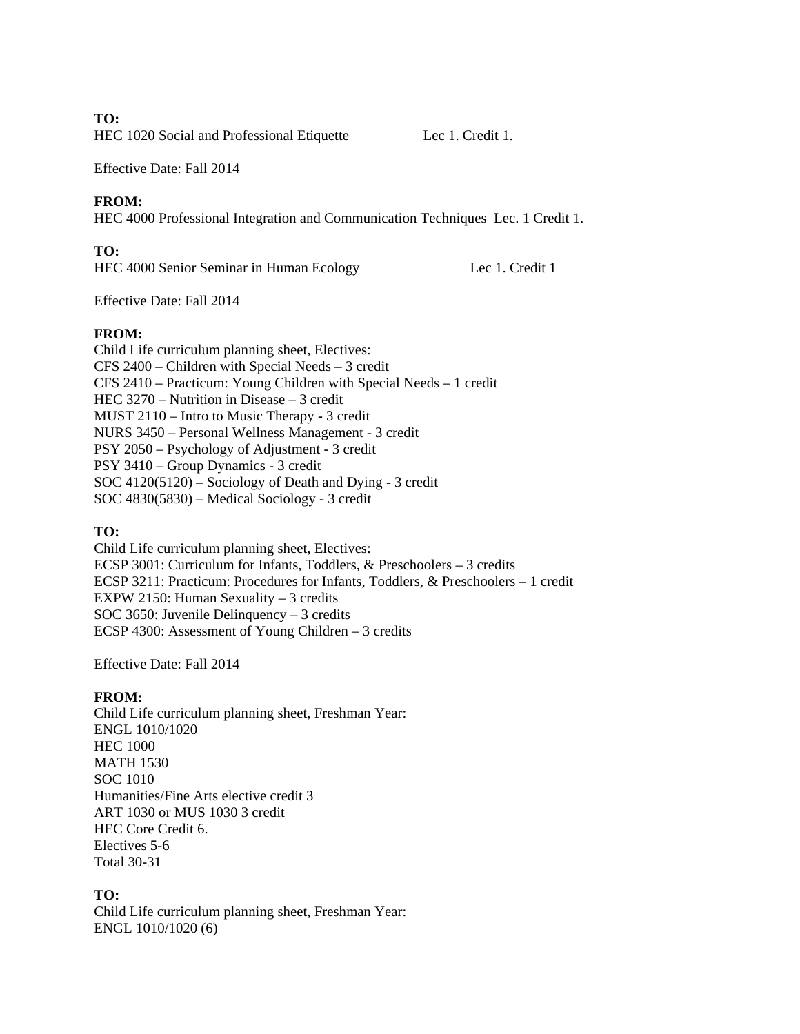#### **TO:**

HEC 1020 Social and Professional Etiquette Lec 1. Credit 1.

Effective Date: Fall 2014

## **FROM:**

HEC 4000 Professional Integration and Communication Techniques Lec. 1 Credit 1.

## **TO:**

HEC 4000 Senior Seminar in Human Ecology Lec 1. Credit 1

Effective Date: Fall 2014

# **FROM:**

Child Life curriculum planning sheet, Electives: CFS 2400 – Children with Special Needs – 3 credit CFS 2410 – Practicum: Young Children with Special Needs – 1 credit HEC 3270 – Nutrition in Disease – 3 credit MUST 2110 – Intro to Music Therapy - 3 credit NURS 3450 – Personal Wellness Management - 3 credit PSY 2050 – Psychology of Adjustment - 3 credit PSY 3410 – Group Dynamics - 3 credit SOC 4120(5120) – Sociology of Death and Dying - 3 credit SOC 4830(5830) – Medical Sociology - 3 credit

# **TO:**

Child Life curriculum planning sheet, Electives: ECSP 3001: Curriculum for Infants, Toddlers, & Preschoolers – 3 credits ECSP 3211: Practicum: Procedures for Infants, Toddlers, & Preschoolers – 1 credit EXPW 2150: Human Sexuality – 3 credits SOC 3650: Juvenile Delinquency – 3 credits ECSP 4300: Assessment of Young Children – 3 credits

Effective Date: Fall 2014

# **FROM:**

Child Life curriculum planning sheet, Freshman Year: ENGL 1010/1020 HEC 1000 MATH 1530 SOC 1010 Humanities/Fine Arts elective credit 3 ART 1030 or MUS 1030 3 credit HEC Core Credit 6. Electives 5-6 Total 30-31

# **TO:**

Child Life curriculum planning sheet, Freshman Year: ENGL 1010/1020 (6)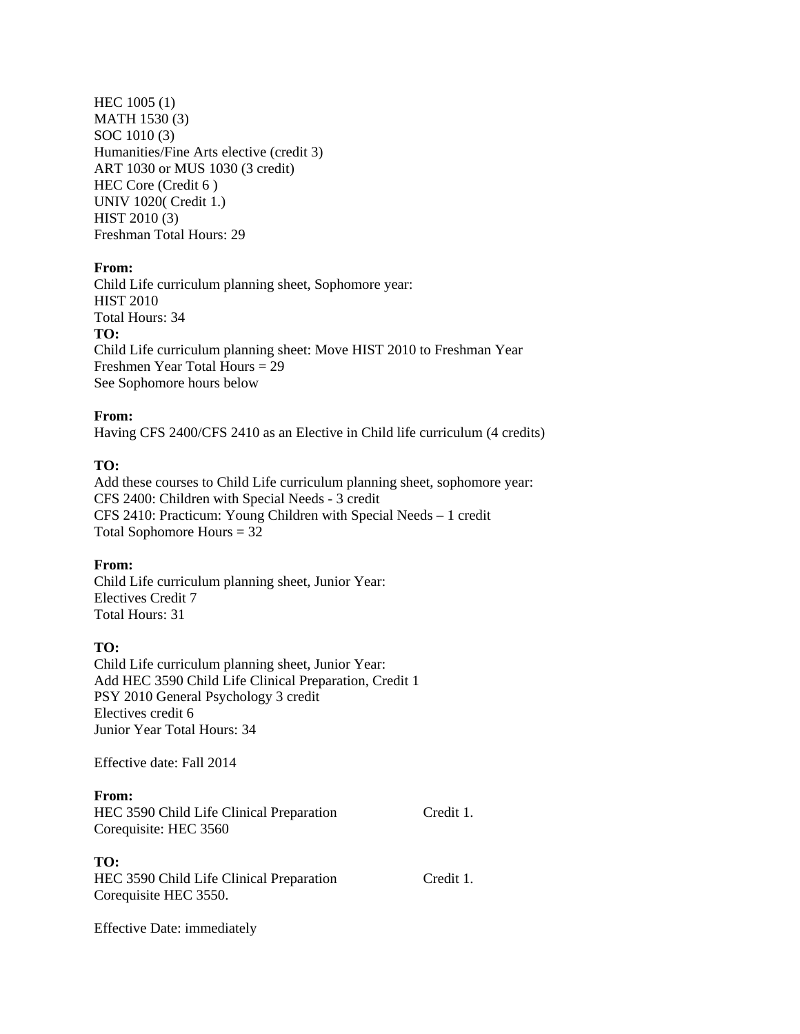HEC 1005 (1) MATH 1530 (3) SOC 1010 (3) Humanities/Fine Arts elective (credit 3) ART 1030 or MUS 1030 (3 credit) HEC Core (Credit 6 ) UNIV 1020( Credit 1.) HIST 2010 (3) Freshman Total Hours: 29

#### **From:**

Child Life curriculum planning sheet, Sophomore year: HIST 2010 Total Hours: 34 **TO:**  Child Life curriculum planning sheet: Move HIST 2010 to Freshman Year Freshmen Year Total Hours = 29 See Sophomore hours below

#### **From:**

Having CFS 2400/CFS 2410 as an Elective in Child life curriculum (4 credits)

#### **TO:**

Add these courses to Child Life curriculum planning sheet, sophomore year: CFS 2400: Children with Special Needs - 3 credit CFS 2410: Practicum: Young Children with Special Needs – 1 credit Total Sophomore Hours = 32

#### **From:**

Child Life curriculum planning sheet, Junior Year: Electives Credit 7 Total Hours: 31

#### **TO:**

Child Life curriculum planning sheet, Junior Year: Add HEC 3590 Child Life Clinical Preparation, Credit 1 PSY 2010 General Psychology 3 credit Electives credit 6 Junior Year Total Hours: 34

Effective date: Fall 2014

#### **From:**

HEC 3590 Child Life Clinical Preparation Credit 1. Corequisite: HEC 3560

#### **TO:**

HEC 3590 Child Life Clinical Preparation Credit 1. Corequisite HEC 3550.

Effective Date: immediately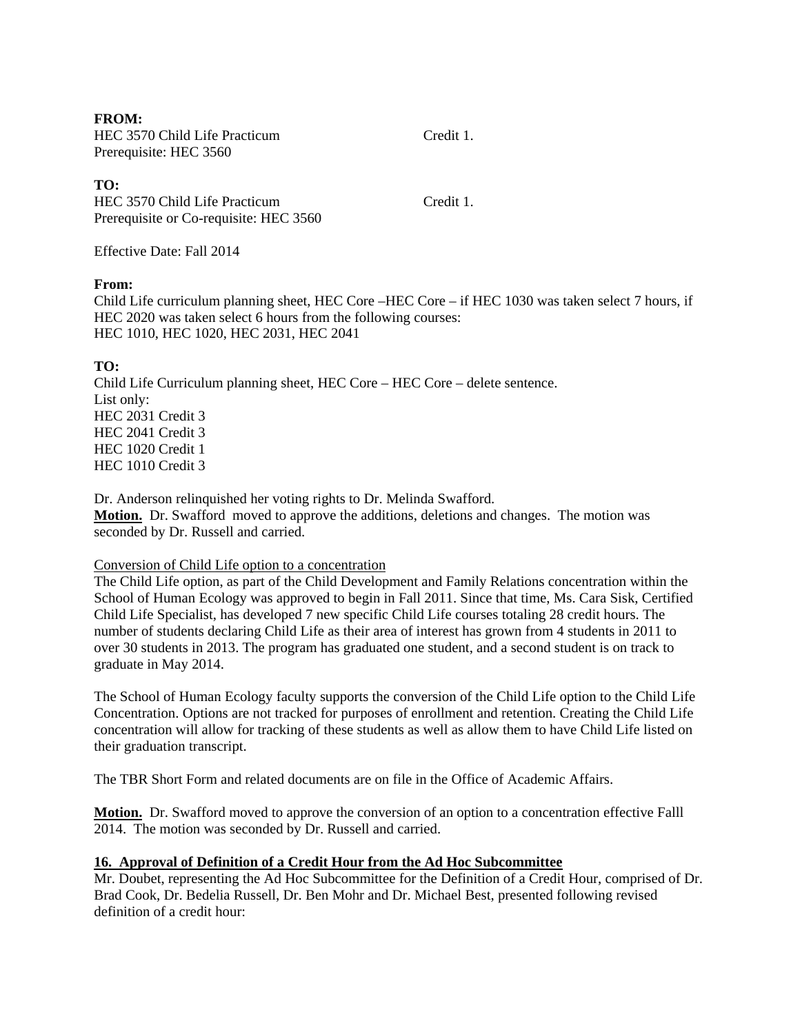**FROM:** 

HEC 3570 Child Life Practicum Credit 1. Prerequisite: HEC 3560

## **TO:**

HEC 3570 Child Life Practicum Credit 1. Prerequisite or Co-requisite: HEC 3560

Effective Date: Fall 2014

## **From:**

Child Life curriculum planning sheet, HEC Core – HEC Core – if HEC 1030 was taken select 7 hours, if HEC 2020 was taken select 6 hours from the following courses: HEC 1010, HEC 1020, HEC 2031, HEC 2041

# **TO:**

Child Life Curriculum planning sheet, HEC Core – HEC Core – delete sentence. List only: HEC 2031 Credit 3 HEC 2041 Credit 3 HEC 1020 Credit 1 HEC 1010 Credit 3

Dr. Anderson relinquished her voting rights to Dr. Melinda Swafford. **Motion.** Dr. Swafford moved to approve the additions, deletions and changes. The motion was seconded by Dr. Russell and carried.

# Conversion of Child Life option to a concentration

The Child Life option, as part of the Child Development and Family Relations concentration within the School of Human Ecology was approved to begin in Fall 2011. Since that time, Ms. Cara Sisk, Certified Child Life Specialist, has developed 7 new specific Child Life courses totaling 28 credit hours. The number of students declaring Child Life as their area of interest has grown from 4 students in 2011 to over 30 students in 2013. The program has graduated one student, and a second student is on track to graduate in May 2014.

The School of Human Ecology faculty supports the conversion of the Child Life option to the Child Life Concentration. Options are not tracked for purposes of enrollment and retention. Creating the Child Life concentration will allow for tracking of these students as well as allow them to have Child Life listed on their graduation transcript.

The TBR Short Form and related documents are on file in the Office of Academic Affairs.

**Motion.** Dr. Swafford moved to approve the conversion of an option to a concentration effective Falll 2014. The motion was seconded by Dr. Russell and carried.

# **16. Approval of Definition of a Credit Hour from the Ad Hoc Subcommittee**

Mr. Doubet, representing the Ad Hoc Subcommittee for the Definition of a Credit Hour, comprised of Dr. Brad Cook, Dr. Bedelia Russell, Dr. Ben Mohr and Dr. Michael Best, presented following revised definition of a credit hour: